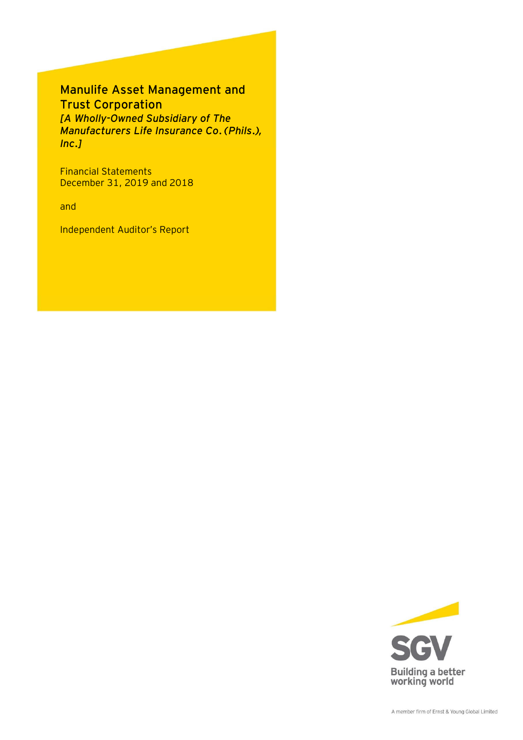Manulife Asset Management and Trust Corporation *[A Wholly-Owned Subsidiary of The Manufacturers Life Insurance Co. (Phils.), Inc.]*

Financial Statements December 31, 2019 and 2018

and

Independent Auditor's Report

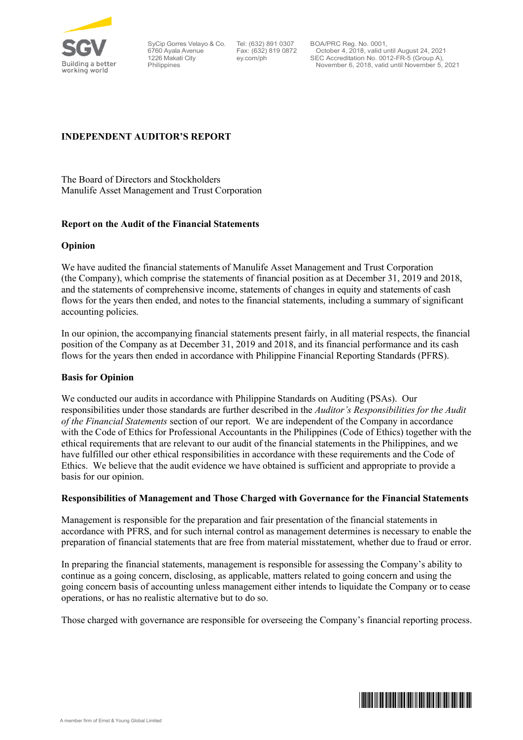

SyCip Gorres Velayo & Co. 6760 Ayala Avenue 1226 Makati City Philippines

Tel: (632) 891 0307 Fax: (632) 819 0872 ey.com/ph

BOA/PRC Reg. No. 0001, October 4, 2018, valid until August 24, 2021 SEC Accreditation No. 0012-FR-5 (Group A), November 6, 2018, valid until November 5, 2021

# **INDEPENDENT AUDITOR'S REPORT**

The Board of Directors and Stockholders Manulife Asset Management and Trust Corporation

## **Report on the Audit of the Financial Statements**

# **Opinion**

We have audited the financial statements of Manulife Asset Management and Trust Corporation (the Company), which comprise the statements of financial position as at December 31, 2019 and 2018, and the statements of comprehensive income, statements of changes in equity and statements of cash flows for the years then ended, and notes to the financial statements, including a summary of significant accounting policies.

In our opinion, the accompanying financial statements present fairly, in all material respects, the financial position of the Company as at December 31, 2019 and 2018, and its financial performance and its cash flows for the years then ended in accordance with Philippine Financial Reporting Standards (PFRS).

## **Basis for Opinion**

We conducted our audits in accordance with Philippine Standards on Auditing (PSAs). Our responsibilities under those standards are further described in the *Auditor's Responsibilities for the Audit of the Financial Statements* section of our report. We are independent of the Company in accordance with the Code of Ethics for Professional Accountants in the Philippines (Code of Ethics) together with the ethical requirements that are relevant to our audit of the financial statements in the Philippines, and we have fulfilled our other ethical responsibilities in accordance with these requirements and the Code of Ethics. We believe that the audit evidence we have obtained is sufficient and appropriate to provide a basis for our opinion.

# **Responsibilities of Management and Those Charged with Governance for the Financial Statements**

Management is responsible for the preparation and fair presentation of the financial statements in accordance with PFRS, and for such internal control as management determines is necessary to enable the preparation of financial statements that are free from material misstatement, whether due to fraud or error.

In preparing the financial statements, management is responsible for assessing the Company's ability to continue as a going concern, disclosing, as applicable, matters related to going concern and using the going concern basis of accounting unless management either intends to liquidate the Company or to cease operations, or has no realistic alternative but to do so.

Those charged with governance are responsible for overseeing the Company's financial reporting process.

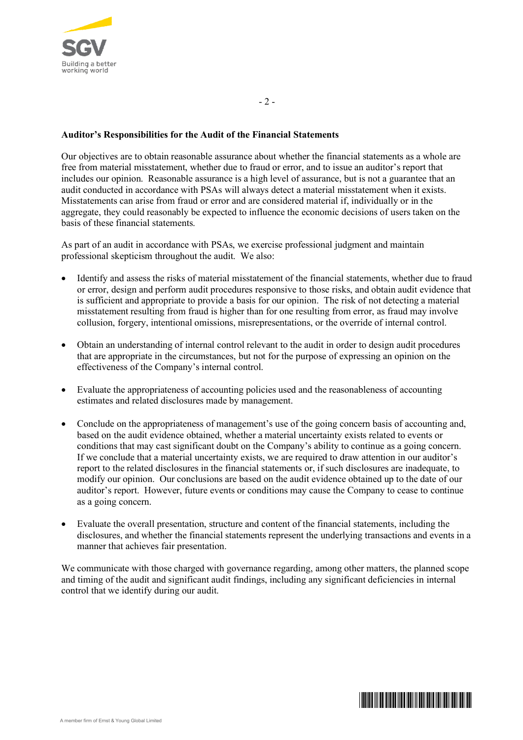

# **Auditor's Responsibilities for the Audit of the Financial Statements**

Our objectives are to obtain reasonable assurance about whether the financial statements as a whole are free from material misstatement, whether due to fraud or error, and to issue an auditor's report that includes our opinion. Reasonable assurance is a high level of assurance, but is not a guarantee that an audit conducted in accordance with PSAs will always detect a material misstatement when it exists. Misstatements can arise from fraud or error and are considered material if, individually or in the aggregate, they could reasonably be expected to influence the economic decisions of users taken on the basis of these financial statements.

As part of an audit in accordance with PSAs, we exercise professional judgment and maintain professional skepticism throughout the audit. We also:

- Identify and assess the risks of material misstatement of the financial statements, whether due to fraud or error, design and perform audit procedures responsive to those risks, and obtain audit evidence that is sufficient and appropriate to provide a basis for our opinion. The risk of not detecting a material misstatement resulting from fraud is higher than for one resulting from error, as fraud may involve collusion, forgery, intentional omissions, misrepresentations, or the override of internal control.
- Obtain an understanding of internal control relevant to the audit in order to design audit procedures that are appropriate in the circumstances, but not for the purpose of expressing an opinion on the effectiveness of the Company's internal control.
- · Evaluate the appropriateness of accounting policies used and the reasonableness of accounting estimates and related disclosures made by management.
- Conclude on the appropriateness of management's use of the going concern basis of accounting and, based on the audit evidence obtained, whether a material uncertainty exists related to events or conditions that may cast significant doubt on the Company's ability to continue as a going concern. If we conclude that a material uncertainty exists, we are required to draw attention in our auditor's report to the related disclosures in the financial statements or, if such disclosures are inadequate, to modify our opinion. Our conclusions are based on the audit evidence obtained up to the date of our auditor's report. However, future events or conditions may cause the Company to cease to continue as a going concern.
- · Evaluate the overall presentation, structure and content of the financial statements, including the disclosures, and whether the financial statements represent the underlying transactions and events in a manner that achieves fair presentation.

We communicate with those charged with governance regarding, among other matters, the planned scope and timing of the audit and significant audit findings, including any significant deficiencies in internal control that we identify during our audit.

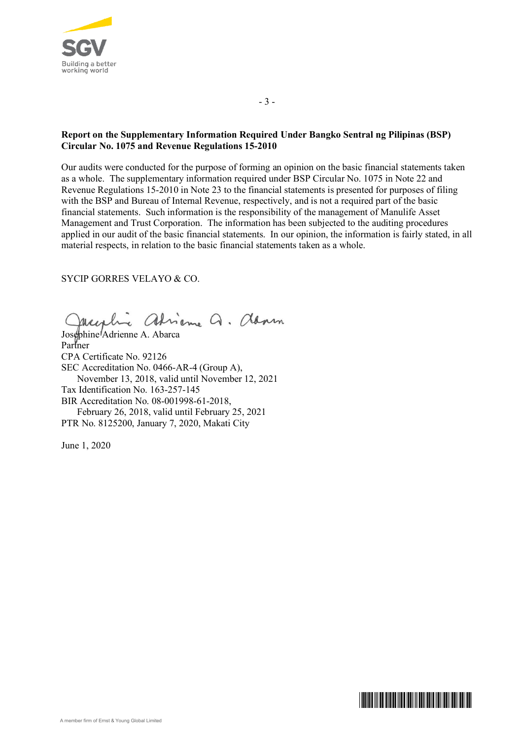

# **Report on the Supplementary Information Required Under Bangko Sentral ng Pilipinas (BSP) Circular No. 1075 and Revenue Regulations 15-2010**

- 3 -

Our audits were conducted for the purpose of forming an opinion on the basic financial statements taken as a whole. The supplementary information required under BSP Circular No. 1075 in Note 22 and Revenue Regulations 15-2010 in Note 23 to the financial statements is presented for purposes of filing with the BSP and Bureau of Internal Revenue, respectively, and is not a required part of the basic financial statements. Such information is the responsibility of the management of Manulife Asset Management and Trust Corporation. The information has been subjected to the auditing procedures applied in our audit of the basic financial statements. In our opinion, the information is fairly stated, in all material respects, in relation to the basic financial statements taken as a whole.

SYCIP GORRES VELAYO & CO.

ucephic adriance a. dann

Josephine Adrienne A. Abarca Partner CPA Certificate No. 92126 SEC Accreditation No. 0466-AR-4 (Group A), November 13, 2018, valid until November 12, 2021 Tax Identification No. 163-257-145 BIR Accreditation No. 08-001998-61-2018, February 26, 2018, valid until February 25, 2021 PTR No. 8125200, January 7, 2020, Makati City

June 1, 2020

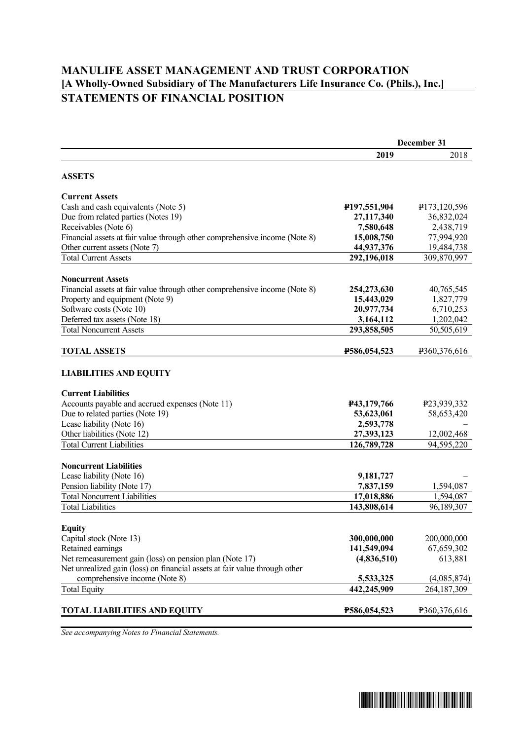# **MANULIFE ASSET MANAGEMENT AND TRUST CORPORATION [A Wholly-Owned Subsidiary of The Manufacturers Life Insurance Co. (Phils.), Inc.] STATEMENTS OF FINANCIAL POSITION**

|                                                                            | December 31  |              |  |
|----------------------------------------------------------------------------|--------------|--------------|--|
|                                                                            | 2019         | 2018         |  |
| <b>ASSETS</b>                                                              |              |              |  |
| <b>Current Assets</b>                                                      |              |              |  |
| Cash and cash equivalents (Note 5)                                         | P197,551,904 | P173,120,596 |  |
| Due from related parties (Notes 19)                                        | 27,117,340   | 36,832,024   |  |
| Receivables (Note 6)                                                       | 7,580,648    | 2,438,719    |  |
| Financial assets at fair value through other comprehensive income (Note 8) | 15,008,750   | 77,994,920   |  |
| Other current assets (Note 7)                                              | 44,937,376   | 19,484,738   |  |
| <b>Total Current Assets</b>                                                | 292,196,018  | 309,870,997  |  |
| <b>Noncurrent Assets</b>                                                   |              |              |  |
| Financial assets at fair value through other comprehensive income (Note 8) | 254,273,630  | 40,765,545   |  |
| Property and equipment (Note 9)                                            | 15,443,029   | 1,827,779    |  |
| Software costs (Note 10)                                                   | 20,977,734   | 6,710,253    |  |
| Deferred tax assets (Note 18)                                              | 3,164,112    | 1,202,042    |  |
| <b>Total Noncurrent Assets</b>                                             | 293,858,505  | 50,505,619   |  |
| <b>TOTAL ASSETS</b>                                                        | P586,054,523 | P360,376,616 |  |
| <b>LIABILITIES AND EQUITY</b><br><b>Current Liabilities</b>                |              |              |  |
| Accounts payable and accrued expenses (Note 11)                            | P43,179,766  | P23,939,332  |  |
| Due to related parties (Note 19)                                           | 53,623,061   | 58,653,420   |  |
| Lease liability (Note 16)                                                  | 2,593,778    |              |  |
| Other liabilities (Note 12)                                                | 27,393,123   | 12,002,468   |  |
| <b>Total Current Liabilities</b>                                           | 126,789,728  | 94,595,220   |  |
| <b>Noncurrent Liabilities</b>                                              |              |              |  |
| Lease liability (Note 16)                                                  | 9,181,727    |              |  |
| Pension liability (Note 17)                                                | 7,837,159    | 1,594,087    |  |
| <b>Total Noncurrent Liabilities</b>                                        | 17,018,886   | 1,594,087    |  |
| <b>Total Liabilities</b>                                                   | 143,808,614  | 96,189,307   |  |
| Equity                                                                     |              |              |  |
| Capital stock (Note 13)                                                    | 300,000,000  | 200,000,000  |  |
| Retained earnings                                                          | 141,549,094  | 67,659,302   |  |
| Net remeasurement gain (loss) on pension plan (Note 17)                    | (4,836,510)  | 613,881      |  |
| Net unrealized gain (loss) on financial assets at fair value through other |              |              |  |
| comprehensive income (Note 8)                                              | 5,533,325    | (4,085,874)  |  |
| <b>Total Equity</b>                                                        | 442,245,909  | 264,187,309  |  |
| TOTAL LIABILITIES AND EQUITY                                               | P586,054,523 | P360,376,616 |  |

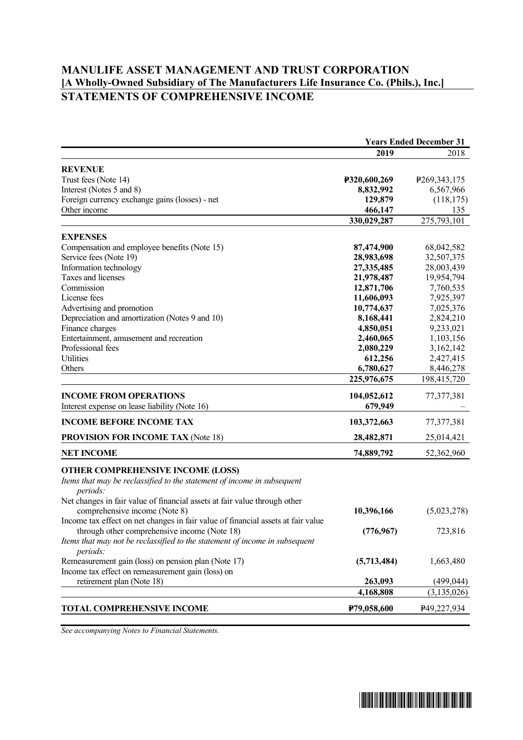# **MANULIFE ASSET MANAGEMENT AND TRUST CORPORATION [A Wholly-Owned Subsidiary of The Manufacturers Life Insurance Co. (Phils.), Inc.] STATEMENTS OF COMPREHENSIVE INCOME**

|                                                                                         | <b>Years Ended December 31</b> |                             |
|-----------------------------------------------------------------------------------------|--------------------------------|-----------------------------|
|                                                                                         | 2019                           | 2018                        |
| <b>REVENUE</b>                                                                          |                                |                             |
| Trust fees (Note 14)                                                                    | P320,600,269                   | P <sub>269</sub> , 343, 175 |
| Interest (Notes 5 and 8)                                                                | 8,832,992                      | 6,567,966                   |
| Foreign currency exchange gains (losses) - net                                          | 129,879                        | (118, 175)                  |
| Other income                                                                            | 466,147                        | 135                         |
|                                                                                         | 330,029,287                    | 275,793,101                 |
| <b>EXPENSES</b>                                                                         |                                |                             |
| Compensation and employee benefits (Note 15)                                            | 87,474,900                     | 68,042,582                  |
| Service fees (Note 19)                                                                  | 28,983,698                     | 32,507,375                  |
| Information technology                                                                  | 27,335,485                     | 28,003,439                  |
| Taxes and licenses                                                                      | 21,978,487                     | 19,954,794                  |
| Commission                                                                              | 12,871,706                     | 7,760,535                   |
| License fees                                                                            | 11,606,093                     | 7,925,397                   |
| Advertising and promotion                                                               | 10,774,637                     | 7,025,376                   |
| Depreciation and amortization (Notes 9 and 10)                                          | 8,168,441                      | 2,824,210                   |
| Finance charges                                                                         | 4,850,051                      | 9,233,021                   |
| Entertainment, amusement and recreation                                                 | 2,460,065                      | 1,103,156                   |
| Professional fees                                                                       | 2,080,229                      | 3,162,142                   |
| <b>Utilities</b>                                                                        | 612,256                        | 2,427,415                   |
| Others                                                                                  | 6,780,627                      | 8,446,278                   |
|                                                                                         | 225,976,675                    | 198,415,720                 |
| <b>INCOME FROM OPERATIONS</b>                                                           | 104,052,612                    | 77,377,381                  |
| Interest expense on lease liability (Note 16)                                           | 679,949                        |                             |
| <b>INCOME BEFORE INCOME TAX</b>                                                         | 103,372,663                    | 77,377,381                  |
| <b>PROVISION FOR INCOME TAX (Note 18)</b>                                               | 28,482,871                     | 25,014,421                  |
| <b>NET INCOME</b>                                                                       | 74,889,792                     | 52,362,960                  |
| <b>OTHER COMPREHENSIVE INCOME (LOSS)</b>                                                |                                |                             |
| Items that may be reclassified to the statement of income in subsequent                 |                                |                             |
| periods:                                                                                |                                |                             |
| Net changes in fair value of financial assets at fair value through other               |                                |                             |
| comprehensive income (Note 8)                                                           | 10,396,166                     | (5,023,278)                 |
| Income tax effect on net changes in fair value of financial assets at fair value        |                                |                             |
| through other comprehensive income (Note 18)                                            | (776, 967)                     | 723,816                     |
| Items that may not be reclassified to the statement of income in subsequent<br>periods: |                                |                             |
| Remeasurement gain (loss) on pension plan (Note 17)                                     | (5,713,484)                    | 1,663,480                   |
| Income tax effect on remeasurement gain (loss) on                                       |                                |                             |
| retirement plan (Note 18)                                                               | 263,093                        | (499, 044)                  |
|                                                                                         | 4,168,808                      | (3, 135, 026)               |
| <b>TOTAL COMPREHENSIVE INCOME</b>                                                       | ¥79,058,600                    | P49,227,934                 |
|                                                                                         |                                |                             |

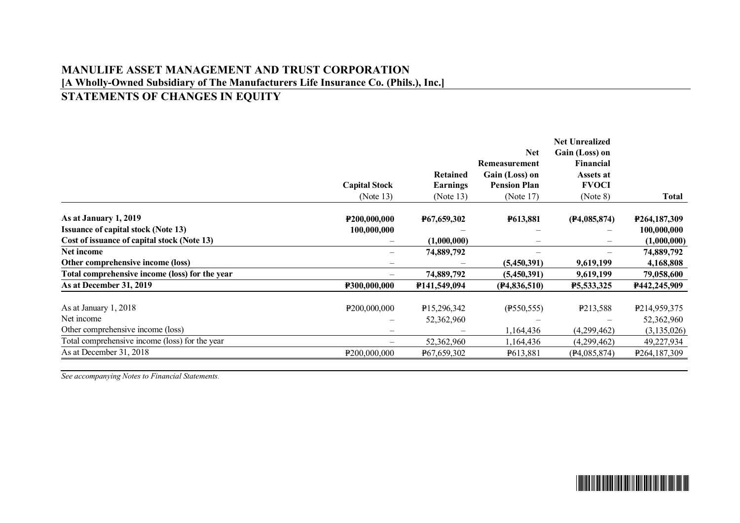# **MANULIFE ASSET MANAGEMENT AND TRUST CORPORATION [A Wholly-Owned Subsidiary of The Manufacturers Life Insurance Co. (Phils.), Inc.]**

# **STATEMENTS OF CHANGES IN EQUITY**

|                                                | <b>Capital Stock</b><br>(Note $13$ ) | <b>Retained</b><br>Earnings<br>(Note $13$ ) | <b>Net</b><br>Remeasurement<br>Gain (Loss) on<br><b>Pension Plan</b><br>(Note 17) | <b>Net Unrealized</b><br>Gain (Loss) on<br>Financial<br>Assets at<br><b>FVOCI</b><br>(Note 8) | <b>Total</b>                |
|------------------------------------------------|--------------------------------------|---------------------------------------------|-----------------------------------------------------------------------------------|-----------------------------------------------------------------------------------------------|-----------------------------|
|                                                |                                      |                                             |                                                                                   |                                                                                               |                             |
| As at January 1, 2019                          | P <sub>200</sub> ,000,000            | <b>P67,659,302</b>                          | <b>P613,881</b>                                                                   | (P4,085,874)                                                                                  | P264,187,309                |
| <b>Issuance of capital stock (Note 13)</b>     | 100,000,000                          |                                             |                                                                                   |                                                                                               | 100,000,000                 |
| Cost of issuance of capital stock (Note 13)    |                                      | (1,000,000)                                 |                                                                                   |                                                                                               | (1,000,000)                 |
| <b>Net income</b>                              | $\overline{\phantom{0}}$             | 74,889,792                                  |                                                                                   |                                                                                               | 74,889,792                  |
| Other comprehensive income (loss)              | -                                    |                                             | (5,450,391)                                                                       | 9,619,199                                                                                     | 4,168,808                   |
| Total comprehensive income (loss) for the year |                                      | 74,889,792                                  | (5,450,391)                                                                       | 9,619,199                                                                                     | 79,058,600                  |
| <b>As at December 31, 2019</b>                 | <b>P300,000,000</b>                  | P <sub>141</sub> , 549, 094                 | (P4, 836, 510)                                                                    | <b>P5,533,325</b>                                                                             | P442,245,909                |
| As at January 1, 2018                          | P200,000,000                         | P15,296,342                                 | (F550, 555)                                                                       | P <sub>2</sub> 13,588                                                                         | P <sub>214,959,375</sub>    |
| Net income                                     |                                      | 52,362,960                                  |                                                                                   |                                                                                               | 52,362,960                  |
| Other comprehensive income (loss)              | $\overline{\phantom{0}}$             |                                             | 1,164,436                                                                         | (4,299,462)                                                                                   | (3,135,026)                 |
| Total comprehensive income (loss) for the year |                                      | 52,362,960                                  | 1,164,436                                                                         | (4,299,462)                                                                                   | 49,227,934                  |
| As at December 31, 2018                        | P <sub>200</sub> ,000,000            | P67,659,302                                 | P <sub>6</sub> 13,881                                                             | (P4,085,874)                                                                                  | P <sub>264</sub> , 187, 309 |

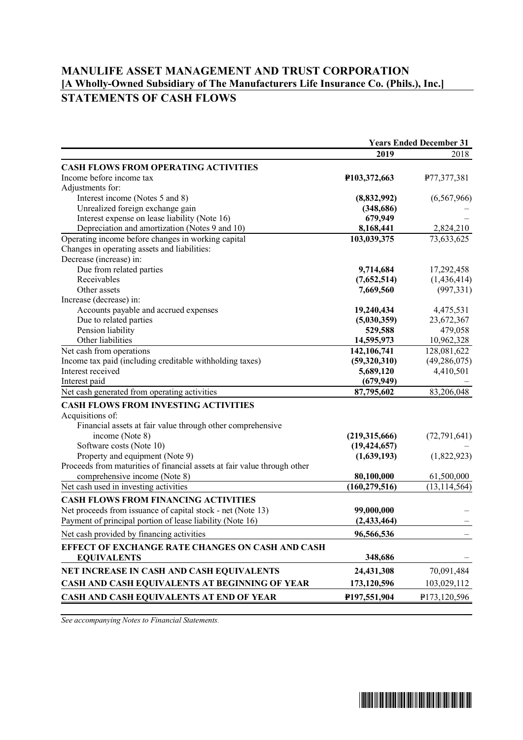# **MANULIFE ASSET MANAGEMENT AND TRUST CORPORATION [A Wholly-Owned Subsidiary of The Manufacturers Life Insurance Co. (Phils.), Inc.] STATEMENTS OF CASH FLOWS**

|                                                                          | <b>Years Ended December 31</b> |                |  |
|--------------------------------------------------------------------------|--------------------------------|----------------|--|
|                                                                          | 2019                           | 2018           |  |
| <b>CASH FLOWS FROM OPERATING ACTIVITIES</b>                              |                                |                |  |
| Income before income tax                                                 | P103,372,663                   | P77,377,381    |  |
| Adjustments for:                                                         |                                |                |  |
| Interest income (Notes 5 and 8)                                          | (8,832,992)                    | (6,567,966)    |  |
| Unrealized foreign exchange gain                                         | (348, 686)                     |                |  |
| Interest expense on lease liability (Note 16)                            | 679,949                        |                |  |
| Depreciation and amortization (Notes 9 and 10)                           | 8,168,441                      | 2,824,210      |  |
| Operating income before changes in working capital                       | 103,039,375                    | 73,633,625     |  |
| Changes in operating assets and liabilities:                             |                                |                |  |
| Decrease (increase) in:                                                  |                                |                |  |
| Due from related parties                                                 | 9,714,684                      | 17,292,458     |  |
| Receivables                                                              | (7,652,514)                    | (1,436,414)    |  |
| Other assets                                                             | 7,669,560                      | (997, 331)     |  |
| Increase (decrease) in:                                                  |                                |                |  |
| Accounts payable and accrued expenses                                    | 19,240,434                     | 4,475,531      |  |
| Due to related parties                                                   | (5,030,359)                    | 23,672,367     |  |
| Pension liability                                                        | 529,588                        | 479,058        |  |
| Other liabilities                                                        | 14,595,973                     | 10,962,328     |  |
| Net cash from operations                                                 | 142,106,741                    | 128,081,622    |  |
| Income tax paid (including creditable withholding taxes)                 | (59,320,310)                   | (49, 286, 075) |  |
| Interest received                                                        | 5,689,120                      | 4,410,501      |  |
| Interest paid                                                            | (679, 949)                     |                |  |
| Net cash generated from operating activities                             | 87,795,602                     | 83,206,048     |  |
| <b>CASH FLOWS FROM INVESTING ACTIVITIES</b>                              |                                |                |  |
| Acquisitions of:                                                         |                                |                |  |
| Financial assets at fair value through other comprehensive               |                                |                |  |
| income (Note 8)                                                          | (219,315,666)                  | (72, 791, 641) |  |
| Software costs (Note 10)                                                 | (19, 424, 657)                 |                |  |
| Property and equipment (Note 9)                                          | (1,639,193)                    | (1,822,923)    |  |
| Proceeds from maturities of financial assets at fair value through other |                                |                |  |
| comprehensive income (Note 8)                                            | 80,100,000                     | 61,500,000     |  |
| Net cash used in investing activities                                    | (160, 279, 516)                | (13, 114, 564) |  |
| <b>CASH FLOWS FROM FINANCING ACTIVITIES</b>                              |                                |                |  |
| Net proceeds from issuance of capital stock - net (Note 13)              | 99,000,000                     |                |  |
| Payment of principal portion of lease liability (Note 16)                | (2,433,464)                    |                |  |
| Net cash provided by financing activities                                | 96,566,536                     |                |  |
| EFFECT OF EXCHANGE RATE CHANGES ON CASH AND CASH                         |                                |                |  |
| <b>EQUIVALENTS</b>                                                       | 348,686                        |                |  |
| NET INCREASE IN CASH AND CASH EQUIVALENTS                                | 24,431,308                     | 70,091,484     |  |
| CASH AND CASH EQUIVALENTS AT BEGINNING OF YEAR                           | 173,120,596                    | 103,029,112    |  |
| CASH AND CASH EQUIVALENTS AT END OF YEAR                                 | P197,551,904                   | P173,120,596   |  |

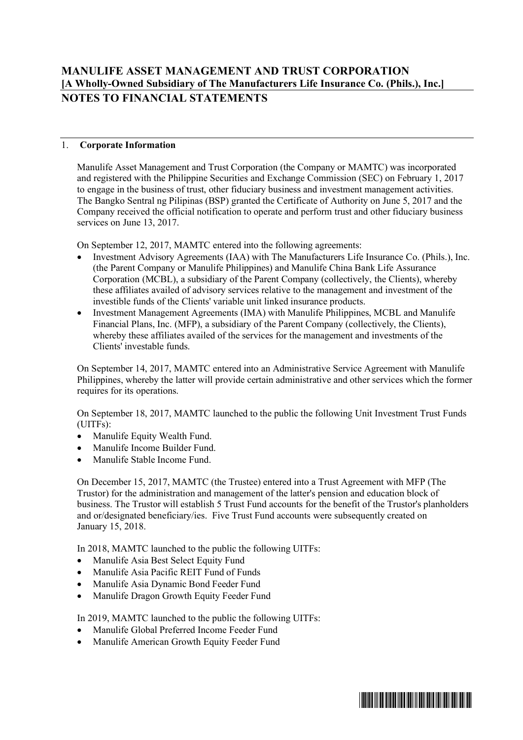# 1. **Corporate Information**

Manulife Asset Management and Trust Corporation (the Company or MAMTC) was incorporated and registered with the Philippine Securities and Exchange Commission (SEC) on February 1, 2017 to engage in the business of trust, other fiduciary business and investment management activities. The Bangko Sentral ng Pilipinas (BSP) granted the Certificate of Authority on June 5, 2017 and the Company received the official notification to operate and perform trust and other fiduciary business services on June 13, 2017.

On September 12, 2017, MAMTC entered into the following agreements:

- · Investment Advisory Agreements (IAA) with The Manufacturers Life Insurance Co. (Phils.), Inc. (the Parent Company or Manulife Philippines) and Manulife China Bank Life Assurance Corporation (MCBL), a subsidiary of the Parent Company (collectively, the Clients), whereby these affiliates availed of advisory services relative to the management and investment of the investible funds of the Clients' variable unit linked insurance products.
- Investment Management Agreements (IMA) with Manulife Philippines, MCBL and Manulife Financial Plans, Inc. (MFP), a subsidiary of the Parent Company (collectively, the Clients), whereby these affiliates availed of the services for the management and investments of the Clients' investable funds.

On September 14, 2017, MAMTC entered into an Administrative Service Agreement with Manulife Philippines, whereby the latter will provide certain administrative and other services which the former requires for its operations.

On September 18, 2017, MAMTC launched to the public the following Unit Investment Trust Funds (UITFs):

- Manulife Equity Wealth Fund.
- · Manulife Income Builder Fund.
- · Manulife Stable Income Fund.

On December 15, 2017, MAMTC (the Trustee) entered into a Trust Agreement with MFP (The Trustor) for the administration and management of the latter's pension and education block of business. The Trustor will establish 5 Trust Fund accounts for the benefit of the Trustor's planholders and or/designated beneficiary/ies. Five Trust Fund accounts were subsequently created on January 15, 2018.

In 2018, MAMTC launched to the public the following UITFs:

- · Manulife Asia Best Select Equity Fund
- · Manulife Asia Pacific REIT Fund of Funds
- · Manulife Asia Dynamic Bond Feeder Fund
- · Manulife Dragon Growth Equity Feeder Fund

In 2019, MAMTC launched to the public the following UITFs:

- · Manulife Global Preferred Income Feeder Fund
- · Manulife American Growth Equity Feeder Fund

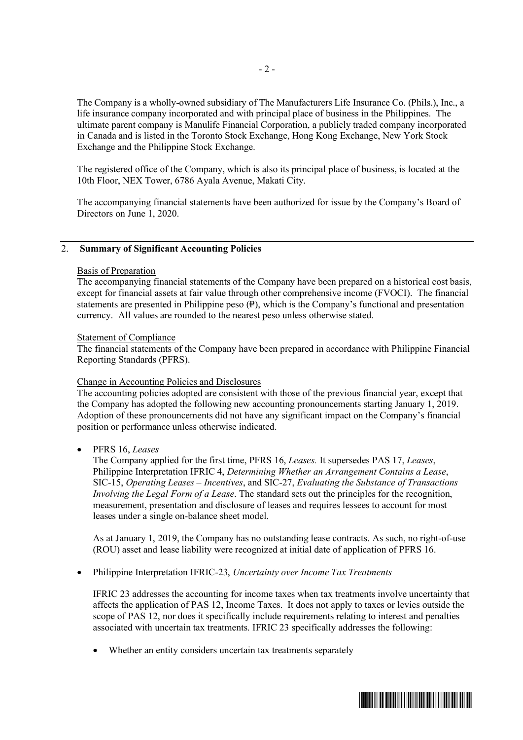The Company is a wholly-owned subsidiary of The Manufacturers Life Insurance Co. (Phils.), Inc., a life insurance company incorporated and with principal place of business in the Philippines. The ultimate parent company is Manulife Financial Corporation, a publicly traded company incorporated in Canada and is listed in the Toronto Stock Exchange, Hong Kong Exchange, New York Stock Exchange and the Philippine Stock Exchange.

The registered office of the Company, which is also its principal place of business, is located at the 10th Floor, NEX Tower, 6786 Ayala Avenue, Makati City.

The accompanying financial statements have been authorized for issue by the Company's Board of Directors on June 1, 2020.

## 2. **Summary of Significant Accounting Policies**

#### Basis of Preparation

The accompanying financial statements of the Company have been prepared on a historical cost basis, except for financial assets at fair value through other comprehensive income (FVOCI). The financial statements are presented in Philippine peso  $(\overline{P})$ , which is the Company's functional and presentation currency. All values are rounded to the nearest peso unless otherwise stated.

#### Statement of Compliance

The financial statements of the Company have been prepared in accordance with Philippine Financial Reporting Standards (PFRS).

#### Change in Accounting Policies and Disclosures

The accounting policies adopted are consistent with those of the previous financial year, except that the Company has adopted the following new accounting pronouncements starting January 1, 2019. Adoption of these pronouncements did not have any significant impact on the Company's financial position or performance unless otherwise indicated.

· PFRS 16, *Leases*

The Company applied for the first time, PFRS 16, *Leases.* It supersedes PAS 17, *Leases*, Philippine Interpretation IFRIC 4, *Determining Whether an Arrangement Contains a Lease*, SIC-15, *Operating Leases – Incentives*, and SIC-27, *Evaluating the Substance of Transactions Involving the Legal Form of a Lease*. The standard sets out the principles for the recognition, measurement, presentation and disclosure of leases and requires lessees to account for most leases under a single on-balance sheet model.

As at January 1, 2019, the Company has no outstanding lease contracts. As such, no right-of-use (ROU) asset and lease liability were recognized at initial date of application of PFRS 16.

· Philippine Interpretation IFRIC-23, *Uncertainty over Income Tax Treatments*

IFRIC 23 addresses the accounting for income taxes when tax treatments involve uncertainty that affects the application of PAS 12, Income Taxes. It does not apply to taxes or levies outside the scope of PAS 12, nor does it specifically include requirements relating to interest and penalties associated with uncertain tax treatments. IFRIC 23 specifically addresses the following:

Whether an entity considers uncertain tax treatments separately

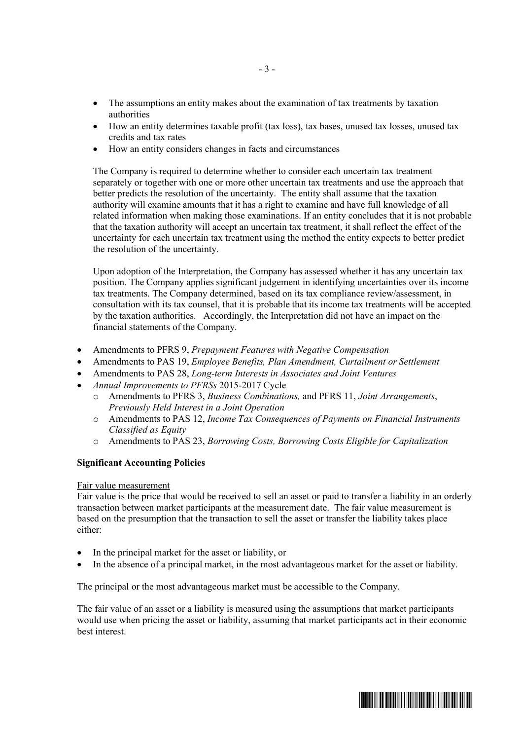- · The assumptions an entity makes about the examination of tax treatments by taxation authorities
- · How an entity determines taxable profit (tax loss), tax bases, unused tax losses, unused tax credits and tax rates
- · How an entity considers changes in facts and circumstances

The Company is required to determine whether to consider each uncertain tax treatment separately or together with one or more other uncertain tax treatments and use the approach that better predicts the resolution of the uncertainty. The entity shall assume that the taxation authority will examine amounts that it has a right to examine and have full knowledge of all related information when making those examinations. If an entity concludes that it is not probable that the taxation authority will accept an uncertain tax treatment, it shall reflect the effect of the uncertainty for each uncertain tax treatment using the method the entity expects to better predict the resolution of the uncertainty.

Upon adoption of the Interpretation, the Company has assessed whether it has any uncertain tax position. The Company applies significant judgement in identifying uncertainties over its income tax treatments. The Company determined, based on its tax compliance review/assessment, in consultation with its tax counsel, that it is probable that its income tax treatments will be accepted by the taxation authorities. Accordingly, the Interpretation did not have an impact on the financial statements of the Company.

- · Amendments to PFRS 9, *Prepayment Features with Negative Compensation*
- · Amendments to PAS 19, *Employee Benefits, Plan Amendment, Curtailment or Settlement*
- · Amendments to PAS 28, *Long-term Interests in Associates and Joint Ventures*
- · *Annual Improvements to PFRSs* 2015-2017 Cycle
	- o Amendments to PFRS 3, *Business Combinations,* and PFRS 11, *Joint Arrangements*, *Previously Held Interest in a Joint Operation*
	- o Amendments to PAS 12, *Income Tax Consequences of Payments on Financial Instruments Classified as Equity*
	- o Amendments to PAS 23, *Borrowing Costs, Borrowing Costs Eligible for Capitalization*

## **Significant Accounting Policies**

## Fair value measurement

Fair value is the price that would be received to sell an asset or paid to transfer a liability in an orderly transaction between market participants at the measurement date. The fair value measurement is based on the presumption that the transaction to sell the asset or transfer the liability takes place either:

- · In the principal market for the asset or liability, or
- In the absence of a principal market, in the most advantageous market for the asset or liability.

The principal or the most advantageous market must be accessible to the Company.

The fair value of an asset or a liability is measured using the assumptions that market participants would use when pricing the asset or liability, assuming that market participants act in their economic best interest.

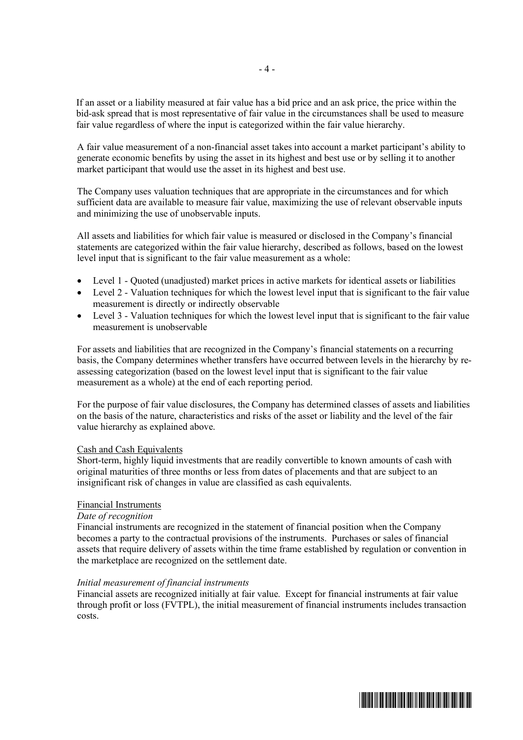If an asset or a liability measured at fair value has a bid price and an ask price, the price within the bid-ask spread that is most representative of fair value in the circumstances shall be used to measure fair value regardless of where the input is categorized within the fair value hierarchy.

A fair value measurement of a non-financial asset takes into account a market participant's ability to generate economic benefits by using the asset in its highest and best use or by selling it to another market participant that would use the asset in its highest and best use.

The Company uses valuation techniques that are appropriate in the circumstances and for which sufficient data are available to measure fair value, maximizing the use of relevant observable inputs and minimizing the use of unobservable inputs.

All assets and liabilities for which fair value is measured or disclosed in the Company's financial statements are categorized within the fair value hierarchy, described as follows, based on the lowest level input that is significant to the fair value measurement as a whole:

- · Level 1 Quoted (unadjusted) market prices in active markets for identical assets or liabilities
- Level 2 Valuation techniques for which the lowest level input that is significant to the fair value measurement is directly or indirectly observable
- · Level 3 Valuation techniques for which the lowest level input that is significant to the fair value measurement is unobservable

For assets and liabilities that are recognized in the Company's financial statements on a recurring basis, the Company determines whether transfers have occurred between levels in the hierarchy by reassessing categorization (based on the lowest level input that is significant to the fair value measurement as a whole) at the end of each reporting period.

For the purpose of fair value disclosures, the Company has determined classes of assets and liabilities on the basis of the nature, characteristics and risks of the asset or liability and the level of the fair value hierarchy as explained above.

## Cash and Cash Equivalents

Short-term, highly liquid investments that are readily convertible to known amounts of cash with original maturities of three months or less from dates of placements and that are subject to an insignificant risk of changes in value are classified as cash equivalents.

#### Financial Instruments

# *Date of recognition*

Financial instruments are recognized in the statement of financial position when the Company becomes a party to the contractual provisions of the instruments. Purchases or sales of financial assets that require delivery of assets within the time frame established by regulation or convention in the marketplace are recognized on the settlement date.

## *Initial measurement of financial instruments*

Financial assets are recognized initially at fair value. Except for financial instruments at fair value through profit or loss (FVTPL), the initial measurement of financial instruments includes transaction costs.

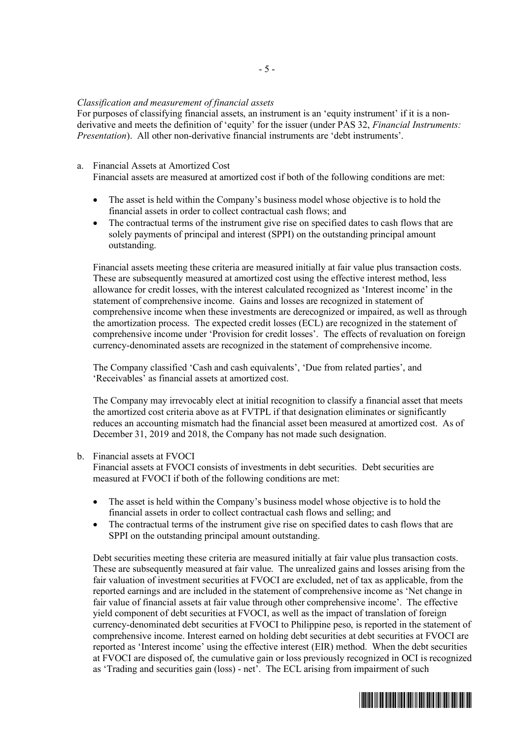### *Classification and measurement of financial assets*

For purposes of classifying financial assets, an instrument is an 'equity instrument' if it is a nonderivative and meets the definition of 'equity' for the issuer (under PAS 32, *Financial Instruments: Presentation*). All other non-derivative financial instruments are 'debt instruments'.

#### a. Financial Assets at Amortized Cost

Financial assets are measured at amortized cost if both of the following conditions are met:

- The asset is held within the Company's business model whose objective is to hold the financial assets in order to collect contractual cash flows; and
- · The contractual terms of the instrument give rise on specified dates to cash flows that are solely payments of principal and interest (SPPI) on the outstanding principal amount outstanding.

Financial assets meeting these criteria are measured initially at fair value plus transaction costs. These are subsequently measured at amortized cost using the effective interest method, less allowance for credit losses, with the interest calculated recognized as 'Interest income' in the statement of comprehensive income. Gains and losses are recognized in statement of comprehensive income when these investments are derecognized or impaired, as well as through the amortization process. The expected credit losses (ECL) are recognized in the statement of comprehensive income under 'Provision for credit losses'. The effects of revaluation on foreign currency-denominated assets are recognized in the statement of comprehensive income.

The Company classified 'Cash and cash equivalents', 'Due from related parties', and 'Receivables' as financial assets at amortized cost.

The Company may irrevocably elect at initial recognition to classify a financial asset that meets the amortized cost criteria above as at FVTPL if that designation eliminates or significantly reduces an accounting mismatch had the financial asset been measured at amortized cost. As of December 31, 2019 and 2018, the Company has not made such designation.

#### b. Financial assets at FVOCI

Financial assets at FVOCI consists of investments in debt securities. Debt securities are measured at FVOCI if both of the following conditions are met:

- The asset is held within the Company's business model whose objective is to hold the financial assets in order to collect contractual cash flows and selling; and
- The contractual terms of the instrument give rise on specified dates to cash flows that are SPPI on the outstanding principal amount outstanding.

Debt securities meeting these criteria are measured initially at fair value plus transaction costs. These are subsequently measured at fair value. The unrealized gains and losses arising from the fair valuation of investment securities at FVOCI are excluded, net of tax as applicable, from the reported earnings and are included in the statement of comprehensive income as 'Net change in fair value of financial assets at fair value through other comprehensive income'. The effective yield component of debt securities at FVOCI, as well as the impact of translation of foreign currency-denominated debt securities at FVOCI to Philippine peso, is reported in the statement of comprehensive income. Interest earned on holding debt securities at debt securities at FVOCI are reported as 'Interest income' using the effective interest (EIR) method. When the debt securities at FVOCI are disposed of, the cumulative gain or loss previously recognized in OCI is recognized as 'Trading and securities gain (loss) - net'. The ECL arising from impairment of such

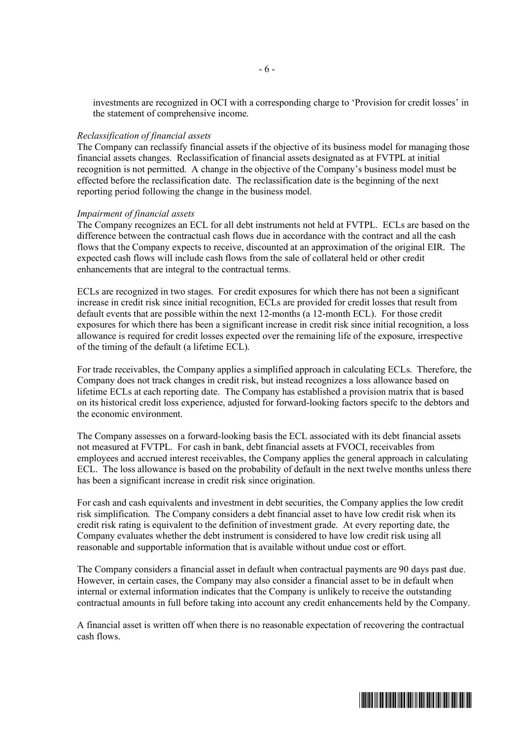investments are recognized in OCI with a corresponding charge to 'Provision for credit losses' in the statement of comprehensive income.

#### *Reclassification of financial assets*

The Company can reclassify financial assets if the objective of its business model for managing those financial assets changes. Reclassification of financial assets designated as at FVTPL at initial recognition is not permitted. A change in the objective of the Company's business model must be effected before the reclassification date. The reclassification date is the beginning of the next reporting period following the change in the business model.

#### *Impairment of financial assets*

The Company recognizes an ECL for all debt instruments not held at FVTPL. ECLs are based on the difference between the contractual cash flows due in accordance with the contract and all the cash flows that the Company expects to receive, discounted at an approximation of the original EIR. The expected cash flows will include cash flows from the sale of collateral held or other credit enhancements that are integral to the contractual terms.

ECLs are recognized in two stages. For credit exposures for which there has not been a significant increase in credit risk since initial recognition, ECLs are provided for credit losses that result from default events that are possible within the next 12-months (a 12-month ECL). For those credit exposures for which there has been a significant increase in credit risk since initial recognition, a loss allowance is required for credit losses expected over the remaining life of the exposure, irrespective of the timing of the default (a lifetime ECL).

For trade receivables, the Company applies a simplified approach in calculating ECLs. Therefore, the Company does not track changes in credit risk, but instead recognizes a loss allowance based on lifetime ECLs at each reporting date. The Company has established a provision matrix that is based on its historical credit loss experience, adjusted for forward-looking factors specifc to the debtors and the economic environment.

The Company assesses on a forward-looking basis the ECL associated with its debt financial assets not measured at FVTPL. For cash in bank, debt financial assets at FVOCI, receivables from employees and accrued interest receivables, the Company applies the general approach in calculating ECL. The loss allowance is based on the probability of default in the next twelve months unless there has been a significant increase in credit risk since origination.

For cash and cash equivalents and investment in debt securities, the Company applies the low credit risk simplification. The Company considers a debt financial asset to have low credit risk when its credit risk rating is equivalent to the definition of investment grade. At every reporting date, the Company evaluates whether the debt instrument is considered to have low credit risk using all reasonable and supportable information that is available without undue cost or effort.

The Company considers a financial asset in default when contractual payments are 90 days past due. However, in certain cases, the Company may also consider a financial asset to be in default when internal or external information indicates that the Company is unlikely to receive the outstanding contractual amounts in full before taking into account any credit enhancements held by the Company.

A financial asset is written off when there is no reasonable expectation of recovering the contractual cash flows.

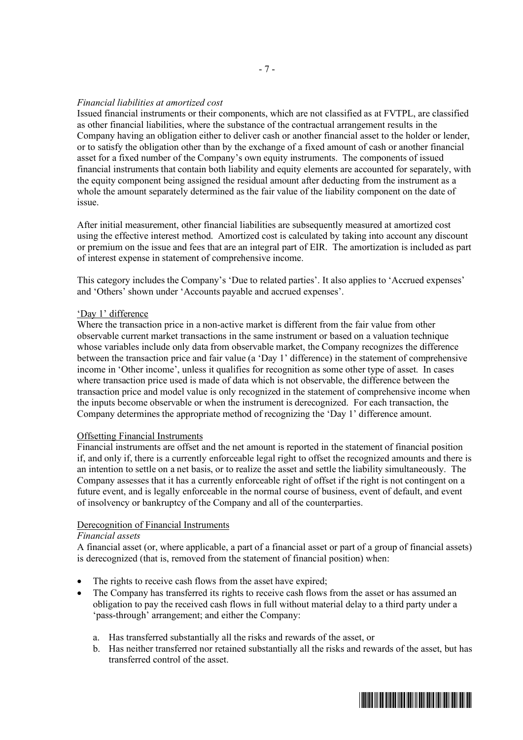## *Financial liabilities at amortized cost*

Issued financial instruments or their components, which are not classified as at FVTPL, are classified as other financial liabilities, where the substance of the contractual arrangement results in the Company having an obligation either to deliver cash or another financial asset to the holder or lender, or to satisfy the obligation other than by the exchange of a fixed amount of cash or another financial asset for a fixed number of the Company's own equity instruments. The components of issued financial instruments that contain both liability and equity elements are accounted for separately, with the equity component being assigned the residual amount after deducting from the instrument as a whole the amount separately determined as the fair value of the liability component on the date of issue.

After initial measurement, other financial liabilities are subsequently measured at amortized cost using the effective interest method. Amortized cost is calculated by taking into account any discount or premium on the issue and fees that are an integral part of EIR. The amortization is included as part of interest expense in statement of comprehensive income.

This category includes the Company's 'Due to related parties'. It also applies to 'Accrued expenses' and 'Others' shown under 'Accounts payable and accrued expenses'.

### 'Day 1' difference

Where the transaction price in a non-active market is different from the fair value from other observable current market transactions in the same instrument or based on a valuation technique whose variables include only data from observable market, the Company recognizes the difference between the transaction price and fair value (a 'Day 1' difference) in the statement of comprehensive income in 'Other income', unless it qualifies for recognition as some other type of asset. In cases where transaction price used is made of data which is not observable, the difference between the transaction price and model value is only recognized in the statement of comprehensive income when the inputs become observable or when the instrument is derecognized. For each transaction, the Company determines the appropriate method of recognizing the 'Day 1' difference amount.

#### Offsetting Financial Instruments

Financial instruments are offset and the net amount is reported in the statement of financial position if, and only if, there is a currently enforceable legal right to offset the recognized amounts and there is an intention to settle on a net basis, or to realize the asset and settle the liability simultaneously. The Company assesses that it has a currently enforceable right of offset if the right is not contingent on a future event, and is legally enforceable in the normal course of business, event of default, and event of insolvency or bankruptcy of the Company and all of the counterparties.

## Derecognition of Financial Instruments

### *Financial assets*

A financial asset (or, where applicable, a part of a financial asset or part of a group of financial assets) is derecognized (that is, removed from the statement of financial position) when:

- The rights to receive cash flows from the asset have expired;
- The Company has transferred its rights to receive cash flows from the asset or has assumed an obligation to pay the received cash flows in full without material delay to a third party under a 'pass-through' arrangement; and either the Company:
	- a. Has transferred substantially all the risks and rewards of the asset, or
	- b. Has neither transferred nor retained substantially all the risks and rewards of the asset, but has transferred control of the asset.

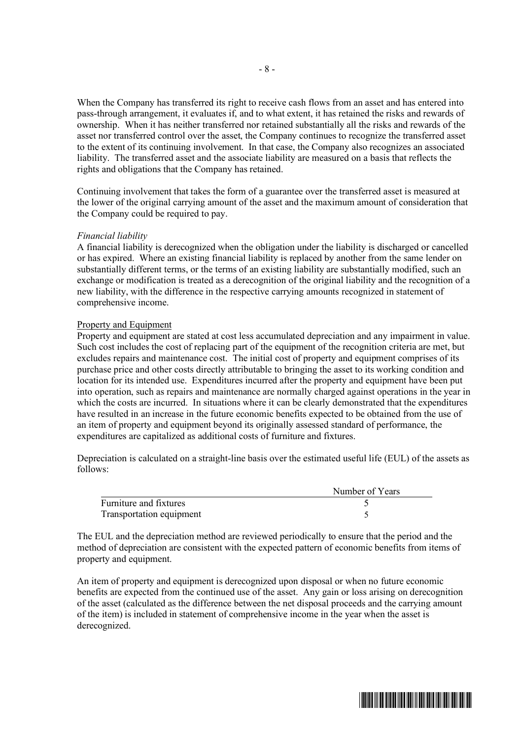When the Company has transferred its right to receive cash flows from an asset and has entered into pass-through arrangement, it evaluates if, and to what extent, it has retained the risks and rewards of ownership. When it has neither transferred nor retained substantially all the risks and rewards of the asset nor transferred control over the asset, the Company continues to recognize the transferred asset to the extent of its continuing involvement. In that case, the Company also recognizes an associated liability. The transferred asset and the associate liability are measured on a basis that reflects the rights and obligations that the Company has retained.

Continuing involvement that takes the form of a guarantee over the transferred asset is measured at the lower of the original carrying amount of the asset and the maximum amount of consideration that the Company could be required to pay.

#### *Financial liability*

A financial liability is derecognized when the obligation under the liability is discharged or cancelled or has expired. Where an existing financial liability is replaced by another from the same lender on substantially different terms, or the terms of an existing liability are substantially modified, such an exchange or modification is treated as a derecognition of the original liability and the recognition of a new liability, with the difference in the respective carrying amounts recognized in statement of comprehensive income.

## Property and Equipment

Property and equipment are stated at cost less accumulated depreciation and any impairment in value. Such cost includes the cost of replacing part of the equipment of the recognition criteria are met, but excludes repairs and maintenance cost. The initial cost of property and equipment comprises of its purchase price and other costs directly attributable to bringing the asset to its working condition and location for its intended use. Expenditures incurred after the property and equipment have been put into operation, such as repairs and maintenance are normally charged against operations in the year in which the costs are incurred. In situations where it can be clearly demonstrated that the expenditures have resulted in an increase in the future economic benefits expected to be obtained from the use of an item of property and equipment beyond its originally assessed standard of performance, the expenditures are capitalized as additional costs of furniture and fixtures.

Depreciation is calculated on a straight-line basis over the estimated useful life (EUL) of the assets as follows:

|                          | Number of Years |
|--------------------------|-----------------|
| Furniture and fixtures   |                 |
| Transportation equipment |                 |

The EUL and the depreciation method are reviewed periodically to ensure that the period and the method of depreciation are consistent with the expected pattern of economic benefits from items of property and equipment.

An item of property and equipment is derecognized upon disposal or when no future economic benefits are expected from the continued use of the asset. Any gain or loss arising on derecognition of the asset (calculated as the difference between the net disposal proceeds and the carrying amount of the item) is included in statement of comprehensive income in the year when the asset is derecognized.

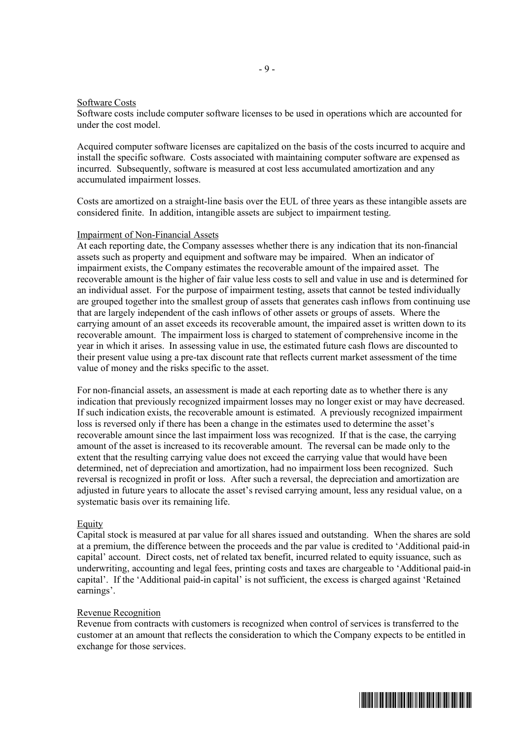#### Software Costs

Software costs include computer software licenses to be used in operations which are accounted for under the cost model.

Acquired computer software licenses are capitalized on the basis of the costs incurred to acquire and install the specific software. Costs associated with maintaining computer software are expensed as incurred. Subsequently, software is measured at cost less accumulated amortization and any accumulated impairment losses.

Costs are amortized on a straight-line basis over the EUL of three years as these intangible assets are considered finite. In addition, intangible assets are subject to impairment testing.

#### Impairment of Non-Financial Assets

At each reporting date, the Company assesses whether there is any indication that its non-financial assets such as property and equipment and software may be impaired. When an indicator of impairment exists, the Company estimates the recoverable amount of the impaired asset. The recoverable amount is the higher of fair value less costs to sell and value in use and is determined for an individual asset. For the purpose of impairment testing, assets that cannot be tested individually are grouped together into the smallest group of assets that generates cash inflows from continuing use that are largely independent of the cash inflows of other assets or groups of assets. Where the carrying amount of an asset exceeds its recoverable amount, the impaired asset is written down to its recoverable amount. The impairment loss is charged to statement of comprehensive income in the year in which it arises. In assessing value in use, the estimated future cash flows are discounted to their present value using a pre-tax discount rate that reflects current market assessment of the time value of money and the risks specific to the asset.

For non-financial assets, an assessment is made at each reporting date as to whether there is any indication that previously recognized impairment losses may no longer exist or may have decreased. If such indication exists, the recoverable amount is estimated. A previously recognized impairment loss is reversed only if there has been a change in the estimates used to determine the asset's recoverable amount since the last impairment loss was recognized. If that is the case, the carrying amount of the asset is increased to its recoverable amount. The reversal can be made only to the extent that the resulting carrying value does not exceed the carrying value that would have been determined, net of depreciation and amortization, had no impairment loss been recognized. Such reversal is recognized in profit or loss. After such a reversal, the depreciation and amortization are adjusted in future years to allocate the asset's revised carrying amount, less any residual value, on a systematic basis over its remaining life.

#### **Equity**

Capital stock is measured at par value for all shares issued and outstanding. When the shares are sold at a premium, the difference between the proceeds and the par value is credited to 'Additional paid-in capital' account. Direct costs, net of related tax benefit, incurred related to equity issuance, such as underwriting, accounting and legal fees, printing costs and taxes are chargeable to 'Additional paid-in capital'. If the 'Additional paid-in capital' is not sufficient, the excess is charged against 'Retained earnings'.

#### Revenue Recognition

Revenue from contracts with customers is recognized when control of services is transferred to the customer at an amount that reflects the consideration to which the Company expects to be entitled in exchange for those services.

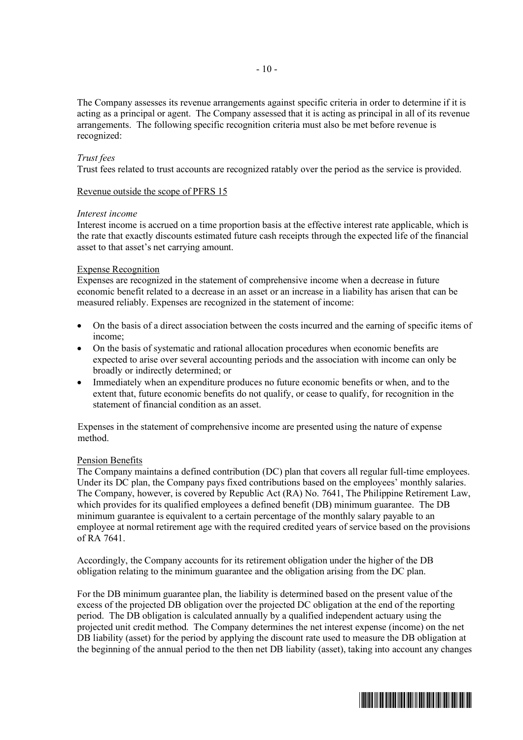The Company assesses its revenue arrangements against specific criteria in order to determine if it is acting as a principal or agent. The Company assessed that it is acting as principal in all of its revenue arrangements. The following specific recognition criteria must also be met before revenue is recognized:

#### *Trust fees*

Trust fees related to trust accounts are recognized ratably over the period as the service is provided.

#### Revenue outside the scope of PFRS 15

#### *Interest income*

Interest income is accrued on a time proportion basis at the effective interest rate applicable, which is the rate that exactly discounts estimated future cash receipts through the expected life of the financial asset to that asset's net carrying amount.

### Expense Recognition

Expenses are recognized in the statement of comprehensive income when a decrease in future economic benefit related to a decrease in an asset or an increase in a liability has arisen that can be measured reliably. Expenses are recognized in the statement of income:

- · On the basis of a direct association between the costs incurred and the earning of specific items of income;
- · On the basis of systematic and rational allocation procedures when economic benefits are expected to arise over several accounting periods and the association with income can only be broadly or indirectly determined; or
- · Immediately when an expenditure produces no future economic benefits or when, and to the extent that, future economic benefits do not qualify, or cease to qualify, for recognition in the statement of financial condition as an asset.

Expenses in the statement of comprehensive income are presented using the nature of expense method.

#### Pension Benefits

The Company maintains a defined contribution (DC) plan that covers all regular full-time employees. Under its DC plan, the Company pays fixed contributions based on the employees' monthly salaries. The Company, however, is covered by Republic Act (RA) No. 7641, The Philippine Retirement Law, which provides for its qualified employees a defined benefit (DB) minimum guarantee. The DB minimum guarantee is equivalent to a certain percentage of the monthly salary payable to an employee at normal retirement age with the required credited years of service based on the provisions of RA 7641.

Accordingly, the Company accounts for its retirement obligation under the higher of the DB obligation relating to the minimum guarantee and the obligation arising from the DC plan.

For the DB minimum guarantee plan, the liability is determined based on the present value of the excess of the projected DB obligation over the projected DC obligation at the end of the reporting period. The DB obligation is calculated annually by a qualified independent actuary using the projected unit credit method. The Company determines the net interest expense (income) on the net DB liability (asset) for the period by applying the discount rate used to measure the DB obligation at the beginning of the annual period to the then net DB liability (asset), taking into account any changes

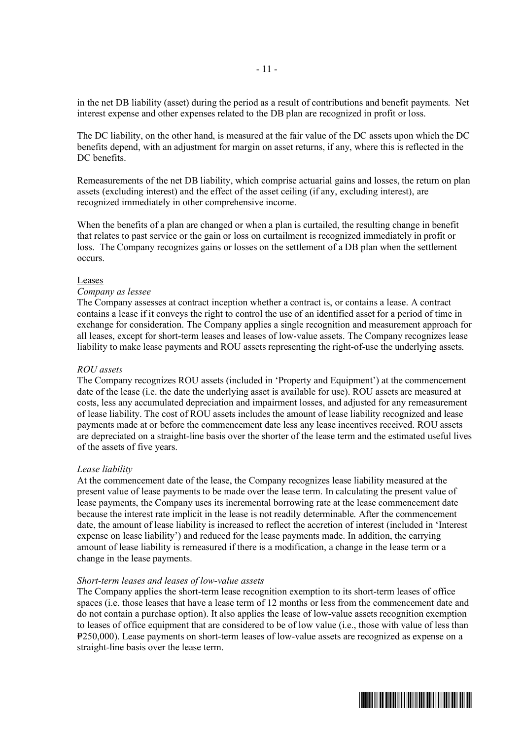in the net DB liability (asset) during the period as a result of contributions and benefit payments. Net interest expense and other expenses related to the DB plan are recognized in profit or loss.

The DC liability, on the other hand, is measured at the fair value of the DC assets upon which the DC benefits depend, with an adjustment for margin on asset returns, if any, where this is reflected in the DC benefits.

Remeasurements of the net DB liability, which comprise actuarial gains and losses, the return on plan assets (excluding interest) and the effect of the asset ceiling (if any, excluding interest), are recognized immediately in other comprehensive income.

When the benefits of a plan are changed or when a plan is curtailed, the resulting change in benefit that relates to past service or the gain or loss on curtailment is recognized immediately in profit or loss. The Company recognizes gains or losses on the settlement of a DB plan when the settlement occurs.

#### Leases

#### *Company as lessee*

The Company assesses at contract inception whether a contract is, or contains a lease. A contract contains a lease if it conveys the right to control the use of an identified asset for a period of time in exchange for consideration. The Company applies a single recognition and measurement approach for all leases, except for short-term leases and leases of low-value assets. The Company recognizes lease liability to make lease payments and ROU assets representing the right-of-use the underlying assets.

#### *ROU assets*

The Company recognizes ROU assets (included in 'Property and Equipment') at the commencement date of the lease (i.e. the date the underlying asset is available for use). ROU assets are measured at costs, less any accumulated depreciation and impairment losses, and adjusted for any remeasurement of lease liability. The cost of ROU assets includes the amount of lease liability recognized and lease payments made at or before the commencement date less any lease incentives received. ROU assets are depreciated on a straight-line basis over the shorter of the lease term and the estimated useful lives of the assets of five years.

#### *Lease liability*

At the commencement date of the lease, the Company recognizes lease liability measured at the present value of lease payments to be made over the lease term. In calculating the present value of lease payments, the Company uses its incremental borrowing rate at the lease commencement date because the interest rate implicit in the lease is not readily determinable. After the commencement date, the amount of lease liability is increased to reflect the accretion of interest (included in 'Interest expense on lease liability') and reduced for the lease payments made. In addition, the carrying amount of lease liability is remeasured if there is a modification, a change in the lease term or a change in the lease payments.

#### *Short-term leases and leases of low-value assets*

The Company applies the short-term lease recognition exemption to its short-term leases of office spaces (i.e. those leases that have a lease term of 12 months or less from the commencement date and do not contain a purchase option). It also applies the lease of low-value assets recognition exemption to leases of office equipment that are considered to be of low value (i.e., those with value of less than P250,000). Lease payments on short-term leases of low-value assets are recognized as expense on a straight-line basis over the lease term.

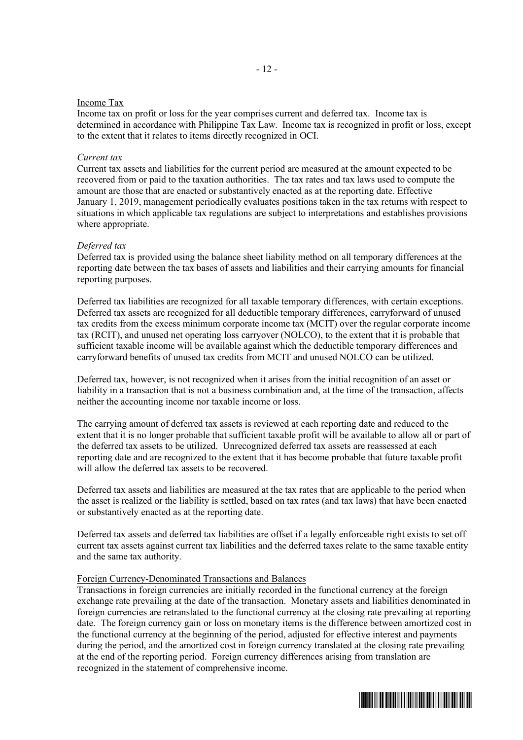#### Income Tax

Income tax on profit or loss for the year comprises current and deferred tax. Income tax is determined in accordance with Philippine Tax Law. Income tax is recognized in profit or loss, except to the extent that it relates to items directly recognized in OCI.

### *Current tax*

Current tax assets and liabilities for the current period are measured at the amount expected to be recovered from or paid to the taxation authorities. The tax rates and tax laws used to compute the amount are those that are enacted or substantively enacted as at the reporting date. Effective January 1, 2019, management periodically evaluates positions taken in the tax returns with respect to situations in which applicable tax regulations are subject to interpretations and establishes provisions where appropriate.

### *Deferred tax*

Deferred tax is provided using the balance sheet liability method on all temporary differences at the reporting date between the tax bases of assets and liabilities and their carrying amounts for financial reporting purposes.

Deferred tax liabilities are recognized for all taxable temporary differences, with certain exceptions. Deferred tax assets are recognized for all deductible temporary differences, carryforward of unused tax credits from the excess minimum corporate income tax (MCIT) over the regular corporate income tax (RCIT), and unused net operating loss carryover (NOLCO), to the extent that it is probable that sufficient taxable income will be available against which the deductible temporary differences and carryforward benefits of unused tax credits from MCIT and unused NOLCO can be utilized.

Deferred tax, however, is not recognized when it arises from the initial recognition of an asset or liability in a transaction that is not a business combination and, at the time of the transaction, affects neither the accounting income nor taxable income or loss.

The carrying amount of deferred tax assets is reviewed at each reporting date and reduced to the extent that it is no longer probable that sufficient taxable profit will be available to allow all or part of the deferred tax assets to be utilized. Unrecognized deferred tax assets are reassessed at each reporting date and are recognized to the extent that it has become probable that future taxable profit will allow the deferred tax assets to be recovered.

Deferred tax assets and liabilities are measured at the tax rates that are applicable to the period when the asset is realized or the liability is settled, based on tax rates (and tax laws) that have been enacted or substantively enacted as at the reporting date.

Deferred tax assets and deferred tax liabilities are offset if a legally enforceable right exists to set off current tax assets against current tax liabilities and the deferred taxes relate to the same taxable entity and the same tax authority.

#### Foreign Currency-Denominated Transactions and Balances

Transactions in foreign currencies are initially recorded in the functional currency at the foreign exchange rate prevailing at the date of the transaction. Monetary assets and liabilities denominated in foreign currencies are retranslated to the functional currency at the closing rate prevailing at reporting date. The foreign currency gain or loss on monetary items is the difference between amortized cost in the functional currency at the beginning of the period, adjusted for effective interest and payments during the period, and the amortized cost in foreign currency translated at the closing rate prevailing at the end of the reporting period. Foreign currency differences arising from translation are recognized in the statement of comprehensive income.

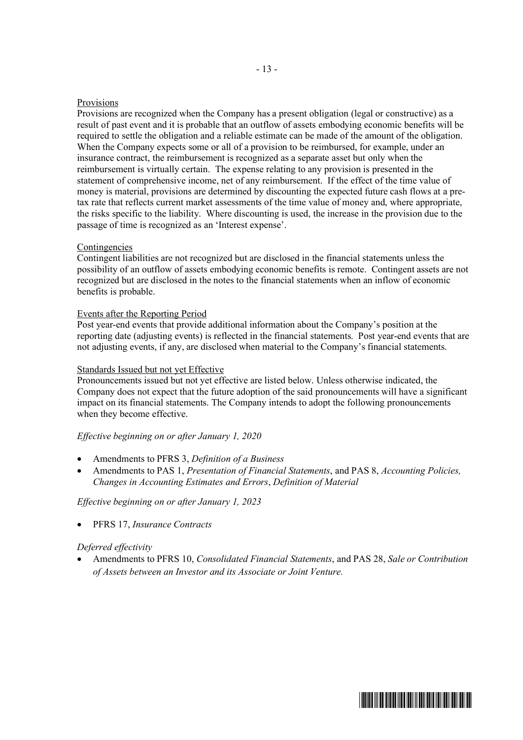#### Provisions

Provisions are recognized when the Company has a present obligation (legal or constructive) as a result of past event and it is probable that an outflow of assets embodying economic benefits will be required to settle the obligation and a reliable estimate can be made of the amount of the obligation. When the Company expects some or all of a provision to be reimbursed, for example, under an insurance contract, the reimbursement is recognized as a separate asset but only when the reimbursement is virtually certain. The expense relating to any provision is presented in the statement of comprehensive income, net of any reimbursement. If the effect of the time value of money is material, provisions are determined by discounting the expected future cash flows at a pretax rate that reflects current market assessments of the time value of money and, where appropriate, the risks specific to the liability. Where discounting is used, the increase in the provision due to the passage of time is recognized as an 'Interest expense'.

### Contingencies

Contingent liabilities are not recognized but are disclosed in the financial statements unless the possibility of an outflow of assets embodying economic benefits is remote. Contingent assets are not recognized but are disclosed in the notes to the financial statements when an inflow of economic benefits is probable.

### Events after the Reporting Period

Post year-end events that provide additional information about the Company's position at the reporting date (adjusting events) is reflected in the financial statements. Post year-end events that are not adjusting events, if any, are disclosed when material to the Company's financial statements.

#### Standards Issued but not yet Effective

Pronouncements issued but not yet effective are listed below. Unless otherwise indicated, the Company does not expect that the future adoption of the said pronouncements will have a significant impact on its financial statements. The Company intends to adopt the following pronouncements when they become effective.

#### *Effective beginning on or after January 1, 2020*

- · Amendments to PFRS 3, *Definition of a Business*
- · Amendments to PAS 1, *Presentation of Financial Statements*, and PAS 8, *Accounting Policies, Changes in Accounting Estimates and Errors*, *Definition of Material*

#### *Effective beginning on or after January 1, 2023*

· PFRS 17, *Insurance Contracts*

#### *Deferred effectivity*

· Amendments to PFRS 10, *Consolidated Financial Statements*, and PAS 28, *Sale or Contribution of Assets between an Investor and its Associate or Joint Venture.*

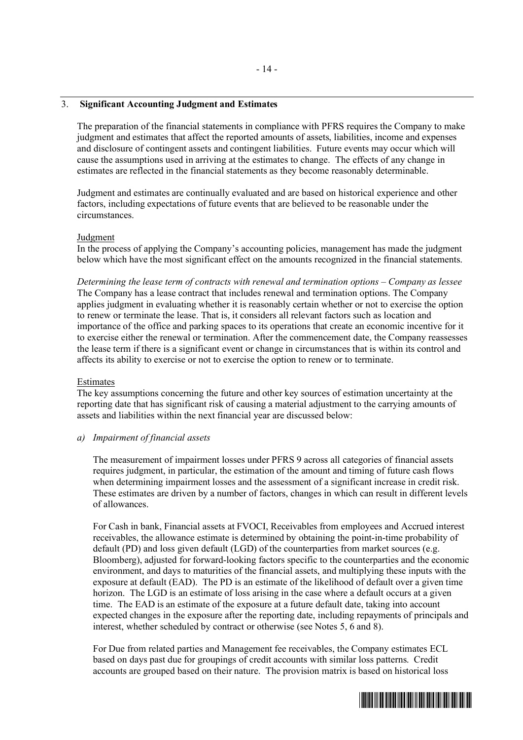## 3. **Significant Accounting Judgment and Estimates**

The preparation of the financial statements in compliance with PFRS requires the Company to make judgment and estimates that affect the reported amounts of assets, liabilities, income and expenses and disclosure of contingent assets and contingent liabilities. Future events may occur which will cause the assumptions used in arriving at the estimates to change. The effects of any change in estimates are reflected in the financial statements as they become reasonably determinable.

Judgment and estimates are continually evaluated and are based on historical experience and other factors, including expectations of future events that are believed to be reasonable under the circumstances.

#### Judgment

In the process of applying the Company's accounting policies, management has made the judgment below which have the most significant effect on the amounts recognized in the financial statements.

*Determining the lease term of contracts with renewal and termination options – Company as lessee* The Company has a lease contract that includes renewal and termination options. The Company applies judgment in evaluating whether it is reasonably certain whether or not to exercise the option to renew or terminate the lease. That is, it considers all relevant factors such as location and importance of the office and parking spaces to its operations that create an economic incentive for it to exercise either the renewal or termination. After the commencement date, the Company reassesses the lease term if there is a significant event or change in circumstances that is within its control and affects its ability to exercise or not to exercise the option to renew or to terminate.

#### Estimates

The key assumptions concerning the future and other key sources of estimation uncertainty at the reporting date that has significant risk of causing a material adjustment to the carrying amounts of assets and liabilities within the next financial year are discussed below:

#### *a) Impairment of financial assets*

The measurement of impairment losses under PFRS 9 across all categories of financial assets requires judgment, in particular, the estimation of the amount and timing of future cash flows when determining impairment losses and the assessment of a significant increase in credit risk. These estimates are driven by a number of factors, changes in which can result in different levels of allowances.

For Cash in bank, Financial assets at FVOCI, Receivables from employees and Accrued interest receivables, the allowance estimate is determined by obtaining the point-in-time probability of default (PD) and loss given default (LGD) of the counterparties from market sources (e.g. Bloomberg), adjusted for forward-looking factors specific to the counterparties and the economic environment, and days to maturities of the financial assets, and multiplying these inputs with the exposure at default (EAD). The PD is an estimate of the likelihood of default over a given time horizon. The LGD is an estimate of loss arising in the case where a default occurs at a given time. The EAD is an estimate of the exposure at a future default date, taking into account expected changes in the exposure after the reporting date, including repayments of principals and interest, whether scheduled by contract or otherwise (see Notes 5, 6 and 8).

For Due from related parties and Management fee receivables, the Company estimates ECL based on days past due for groupings of credit accounts with similar loss patterns. Credit accounts are grouped based on their nature. The provision matrix is based on historical loss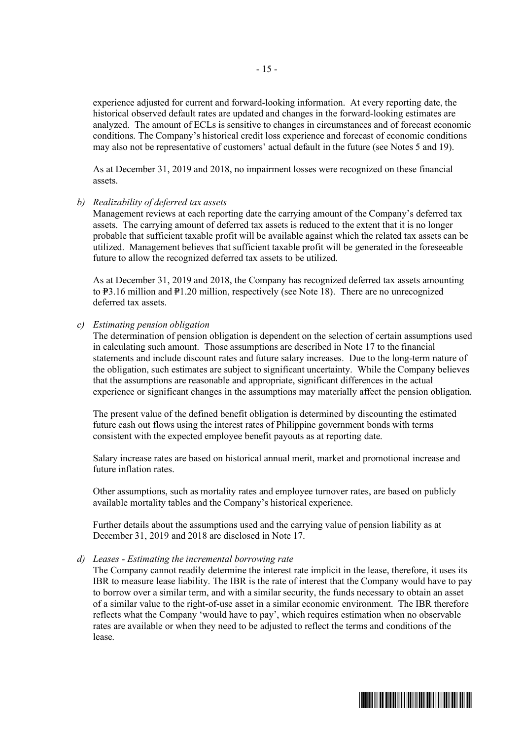experience adjusted for current and forward-looking information. At every reporting date, the historical observed default rates are updated and changes in the forward-looking estimates are analyzed. The amount of ECLs is sensitive to changes in circumstances and of forecast economic conditions. The Company's historical credit loss experience and forecast of economic conditions may also not be representative of customers' actual default in the future (see Notes 5 and 19).

As at December 31, 2019 and 2018, no impairment losses were recognized on these financial assets.

*b) Realizability of deferred tax assets*

Management reviews at each reporting date the carrying amount of the Company's deferred tax assets. The carrying amount of deferred tax assets is reduced to the extent that it is no longer probable that sufficient taxable profit will be available against which the related tax assets can be utilized. Management believes that sufficient taxable profit will be generated in the foreseeable future to allow the recognized deferred tax assets to be utilized.

As at December 31, 2019 and 2018, the Company has recognized deferred tax assets amounting to  $\texttt{P3.16}$  million and  $\texttt{P1.20}$  million, respectively (see Note 18). There are no unrecognized deferred tax assets.

*c) Estimating pension obligation*

The determination of pension obligation is dependent on the selection of certain assumptions used in calculating such amount. Those assumptions are described in Note 17 to the financial statements and include discount rates and future salary increases. Due to the long-term nature of the obligation, such estimates are subject to significant uncertainty. While the Company believes that the assumptions are reasonable and appropriate, significant differences in the actual experience or significant changes in the assumptions may materially affect the pension obligation.

The present value of the defined benefit obligation is determined by discounting the estimated future cash out flows using the interest rates of Philippine government bonds with terms consistent with the expected employee benefit payouts as at reporting date.

Salary increase rates are based on historical annual merit, market and promotional increase and future inflation rates.

Other assumptions, such as mortality rates and employee turnover rates, are based on publicly available mortality tables and the Company's historical experience.

Further details about the assumptions used and the carrying value of pension liability as at December 31, 2019 and 2018 are disclosed in Note 17.

#### *d) Leases - Estimating the incremental borrowing rate*

The Company cannot readily determine the interest rate implicit in the lease, therefore, it uses its IBR to measure lease liability. The IBR is the rate of interest that the Company would have to pay to borrow over a similar term, and with a similar security, the funds necessary to obtain an asset of a similar value to the right-of-use asset in a similar economic environment. The IBR therefore reflects what the Company 'would have to pay', which requires estimation when no observable rates are available or when they need to be adjusted to reflect the terms and conditions of the lease.

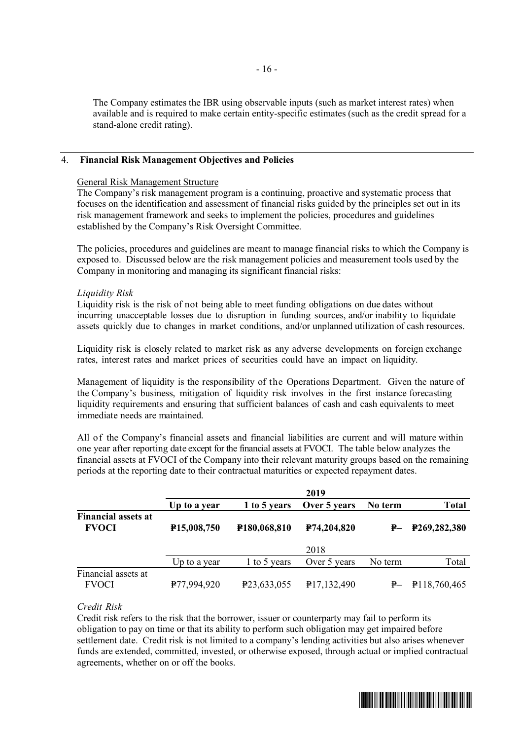The Company estimates the IBR using observable inputs (such as market interest rates) when available and is required to make certain entity-specific estimates (such as the credit spread for a stand-alone credit rating).

# 4. **Financial Risk Management Objectives and Policies**

#### General Risk Management Structure

The Company's risk management program is a continuing, proactive and systematic process that focuses on the identification and assessment of financial risks guided by the principles set out in its risk management framework and seeks to implement the policies, procedures and guidelines established by the Company's Risk Oversight Committee.

The policies, procedures and guidelines are meant to manage financial risks to which the Company is exposed to. Discussed below are the risk management policies and measurement tools used by the Company in monitoring and managing its significant financial risks:

#### *Liquidity Risk*

Liquidity risk is the risk of not being able to meet funding obligations on due dates without incurring unacceptable losses due to disruption in funding sources, and/or inability to liquidate assets quickly due to changes in market conditions, and/or unplanned utilization of cash resources.

Liquidity risk is closely related to market risk as any adverse developments on foreign exchange rates, interest rates and market prices of securities could have an impact on liquidity.

Management of liquidity is the responsibility of the Operations Department. Given the nature of the Company's business, mitigation of liquidity risk involves in the first instance forecasting liquidity requirements and ensuring that sufficient balances of cash and cash equivalents to meet immediate needs are maintained.

All of the Company's financial assets and financial liabilities are current and will mature within one year after reporting date except for the financial assets at FVOCI. The table below analyzes the financial assets at FVOCI of the Company into their relevant maturity groups based on the remaining periods at the reporting date to their contractual maturities or expected repayment dates.

|                                            |              |              | 2019                     |         |              |
|--------------------------------------------|--------------|--------------|--------------------------|---------|--------------|
|                                            | Up to a year | 1 to 5 years | Over 5 years             | No term | <b>Total</b> |
| <b>Financial assets at</b><br><b>FVOCI</b> | P15,008,750  | P180,068,810 | P74,204,820              | $P-$    | P269,282,380 |
|                                            |              |              | 2018                     |         |              |
|                                            | Up to a year | 1 to 5 years | Over 5 years             | No term | Total        |
| Financial assets at<br><b>FVOCI</b>        | P77,994,920  | P23,633,055  | P <sub>17</sub> ,132,490 | P       | P118,760,465 |

#### *Credit Risk*

Credit risk refers to the risk that the borrower, issuer or counterparty may fail to perform its obligation to pay on time or that its ability to perform such obligation may get impaired before settlement date. Credit risk is not limited to a company's lending activities but also arises whenever funds are extended, committed, invested, or otherwise exposed, through actual or implied contractual agreements, whether on or off the books.

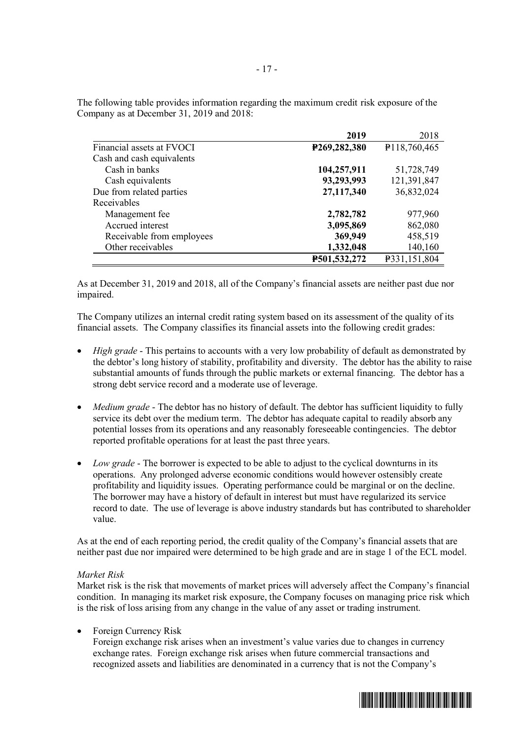|                           | 2019         | 2018         |
|---------------------------|--------------|--------------|
| Financial assets at FVOCI | P269,282,380 | P118,760,465 |
| Cash and cash equivalents |              |              |
| Cash in banks             | 104,257,911  | 51,728,749   |
| Cash equivalents          | 93,293,993   | 121,391,847  |
| Due from related parties  | 27,117,340   | 36,832,024   |
| Receivables               |              |              |
| Management fee            | 2,782,782    | 977,960      |
| Accrued interest          | 3,095,869    | 862,080      |
| Receivable from employees | 369,949      | 458,519      |
| Other receivables         | 1,332,048    | 140,160      |
|                           | P501,532,272 | P331,151,804 |

The following table provides information regarding the maximum credit risk exposure of the Company as at December 31, 2019 and 2018:

As at December 31, 2019 and 2018, all of the Company's financial assets are neither past due nor impaired.

The Company utilizes an internal credit rating system based on its assessment of the quality of its financial assets. The Company classifies its financial assets into the following credit grades:

- High grade This pertains to accounts with a very low probability of default as demonstrated by the debtor's long history of stability, profitability and diversity. The debtor has the ability to raise substantial amounts of funds through the public markets or external financing. The debtor has a strong debt service record and a moderate use of leverage.
- · *Medium grade* The debtor has no history of default. The debtor has sufficient liquidity to fully service its debt over the medium term. The debtor has adequate capital to readily absorb any potential losses from its operations and any reasonably foreseeable contingencies. The debtor reported profitable operations for at least the past three years.
- Low grade The borrower is expected to be able to adjust to the cyclical downturns in its operations. Any prolonged adverse economic conditions would however ostensibly create profitability and liquidity issues. Operating performance could be marginal or on the decline. The borrower may have a history of default in interest but must have regularized its service record to date. The use of leverage is above industry standards but has contributed to shareholder value.

As at the end of each reporting period, the credit quality of the Company's financial assets that are neither past due nor impaired were determined to be high grade and are in stage 1 of the ECL model.

#### *Market Risk*

Market risk is the risk that movements of market prices will adversely affect the Company's financial condition. In managing its market risk exposure, the Company focuses on managing price risk which is the risk of loss arising from any change in the value of any asset or trading instrument.

Foreign Currency Risk

Foreign exchange risk arises when an investment's value varies due to changes in currency exchange rates. Foreign exchange risk arises when future commercial transactions and recognized assets and liabilities are denominated in a currency that is not the Company's

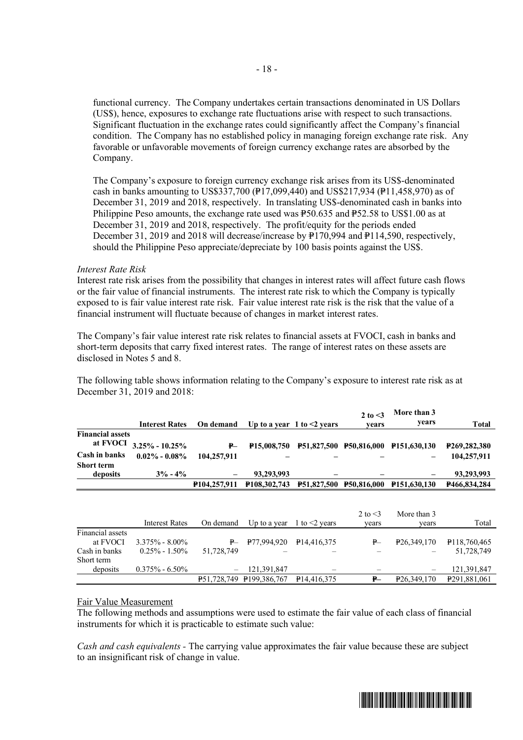functional currency. The Company undertakes certain transactions denominated in US Dollars (US\$), hence, exposures to exchange rate fluctuations arise with respect to such transactions. Significant fluctuation in the exchange rates could significantly affect the Company's financial condition. The Company has no established policy in managing foreign exchange rate risk. Any favorable or unfavorable movements of foreign currency exchange rates are absorbed by the Company.

The Company's exposure to foreign currency exchange risk arises from its US\$-denominated cash in banks amounting to US\$337,700 (P17,099,440) and US\$217,934 (P11,458,970) as of December 31, 2019 and 2018, respectively. In translating US\$-denominated cash in banks into Philippine Peso amounts, the exchange rate used was  $P50.635$  and  $P52.58$  to US\$1.00 as at December 31, 2019 and 2018, respectively. The profit/equity for the periods ended December 31, 2019 and 2018 will decrease/increase by  $\overline{P}170,994$  and  $\overline{P}114,590$ , respectively, should the Philippine Peso appreciate/depreciate by 100 basis points against the US\$.

#### *Interest Rate Risk*

Interest rate risk arises from the possibility that changes in interest rates will affect future cash flows or the fair value of financial instruments. The interest rate risk to which the Company is typically exposed to is fair value interest rate risk. Fair value interest rate risk is the risk that the value of a financial instrument will fluctuate because of changes in market interest rates.

The Company's fair value interest rate risk relates to financial assets at FVOCI, cash in banks and short-term deposits that carry fixed interest rates. The range of interest rates on these assets are disclosed in Notes 5 and 8.

The following table shows information relating to the Company's exposure to interest rate risk as at December 31, 2019 and 2018:

|                         |                            |                           |                           |                                  | 2 to $\leq$ 3                  | More than 3               |                             |
|-------------------------|----------------------------|---------------------------|---------------------------|----------------------------------|--------------------------------|---------------------------|-----------------------------|
|                         | <b>Interest Rates</b>      | On demand                 |                           | Up to a year $1$ to $\leq$ years | vears                          | years                     | <b>Total</b>                |
| <b>Financial assets</b> |                            |                           |                           |                                  |                                |                           |                             |
|                         | at FVOCI $3.25\%$ - 10.25% | ₽                         | <b>P15,008,750</b>        |                                  | <b>P51,827,500 P50,816,000</b> | P151,630,130              | P <sub>269</sub> , 282, 380 |
| Cash in banks           | $0.02\% - 0.08\%$          | 104,257,911               |                           |                                  |                                |                           | 104,257,911                 |
| <b>Short term</b>       |                            |                           |                           |                                  |                                |                           |                             |
| deposits                | $3\% - 4\%$                |                           | 93,293,993                |                                  |                                |                           | 93,293,993                  |
|                         |                            | P <sub>104</sub> ,257,911 | P <sub>108</sub> .302.743 | <b>P51,827,500 P50,816,000</b>   |                                | P <sub>151</sub> ,630,130 | P466,834,284                |
|                         |                            |                           |                           |                                  |                                |                           |                             |

|                                               | Interest Rates                          | On demand       | Up to a vear                            | 1 to $\leq$ vears        | 2 to $\leq$ 3<br>vears | More than 3<br>vears       | Total                                     |
|-----------------------------------------------|-----------------------------------------|-----------------|-----------------------------------------|--------------------------|------------------------|----------------------------|-------------------------------------------|
| Financial assets<br>at FVOCI<br>Cash in banks | $3.375\% - 8.00\%$<br>$0.25\% - 1.50\%$ | P<br>51,728,749 | P77.994.920                             | P <sub>14</sub> 416.375  |                        | P <sub>26</sub> , 349, 170 | P <sub>118</sub> , 760, 465<br>51,728,749 |
| Short term<br>deposits                        | $0.375\% - 6.50\%$                      |                 | 121,391,847<br>P51,728,749 P199,386,767 | P <sub>14</sub> ,416,375 |                        | P <sub>26</sub> , 349, 170 | 121,391,847<br>P <sub>291,881,061</sub>   |

#### Fair Value Measurement

The following methods and assumptions were used to estimate the fair value of each class of financial instruments for which it is practicable to estimate such value:

*Cash and cash equivalents -* The carrying value approximates the fair value because these are subject to an insignificant risk of change in value.

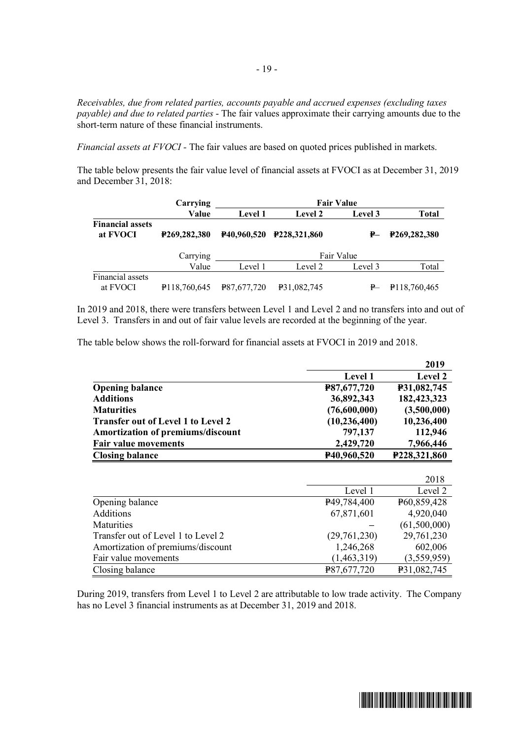*Receivables, due from related parties, accounts payable and accrued expenses (excluding taxes payable) and due to related parties* - The fair values approximate their carrying amounts due to the short-term nature of these financial instruments.

*Financial assets at FVOCI -* The fair values are based on quoted prices published in markets.

The table below presents the fair value level of financial assets at FVOCI as at December 31, 2019 and December 31, 2018:

|                                     | Carrying                    |                | <b>Fair Value</b> |            |                             |
|-------------------------------------|-----------------------------|----------------|-------------------|------------|-----------------------------|
|                                     | Value                       | <b>Level 1</b> | <b>Level 2</b>    | Level 3    | <b>Total</b>                |
| <b>Financial assets</b><br>at FVOCI | P <sub>269</sub> , 282, 380 | P40,960,520    | P228.321.860      | ₽–         | P269,282,380                |
|                                     | Carrying                    |                |                   | Fair Value |                             |
|                                     | Value                       | Level 1        | Level 2           | Level 3    | Total                       |
| Financial assets<br>at FVOCI        | P <sub>118,760,645</sub>    | P87,677,720    | P31,082,745       | P          | P <sub>118</sub> , 760, 465 |

In 2019 and 2018, there were transfers between Level 1 and Level 2 and no transfers into and out of Level 3. Transfers in and out of fair value levels are recorded at the beginning of the year.

The table below shows the roll-forward for financial assets at FVOCI in 2019 and 2018.

|                                           |                          | 2019           |
|-------------------------------------------|--------------------------|----------------|
|                                           | <b>Level 1</b>           | <b>Level 2</b> |
| <b>Opening balance</b>                    | P87,677,720              | P31,082,745    |
| <b>Additions</b>                          | 36,892,343               | 182,423,323    |
| <b>Maturities</b>                         | (76,600,000)             | (3,500,000)    |
| <b>Transfer out of Level 1 to Level 2</b> | (10, 236, 400)           | 10,236,400     |
| Amortization of premiums/discount         | 797,137                  | 112,946        |
| <b>Fair value movements</b>               | 2,429,720                | 7,966,446      |
| <b>Closing balance</b>                    | P40,960,520              | P228,321,860   |
|                                           |                          |                |
|                                           |                          | 2018           |
|                                           | Level 1                  | Level 2        |
| Opening balance                           | P <sub>49</sub> ,784,400 | P60,859,428    |
| Additions                                 | 67,871,601               | 4,920,040      |
| <b>Maturities</b>                         |                          | (61,500,000)   |
| Transfer out of Level 1 to Level 2        | (29,761,230)             | 29,761,230     |
| Amortization of premiums/discount         | 1,246,268                | 602,006        |
| Fair value movements                      | (1,463,319)              | (3,559,959)    |
| Closing balance                           | P87,677,720              | P31,082,745    |

During 2019, transfers from Level 1 to Level 2 are attributable to low trade activity. The Company has no Level 3 financial instruments as at December 31, 2019 and 2018.

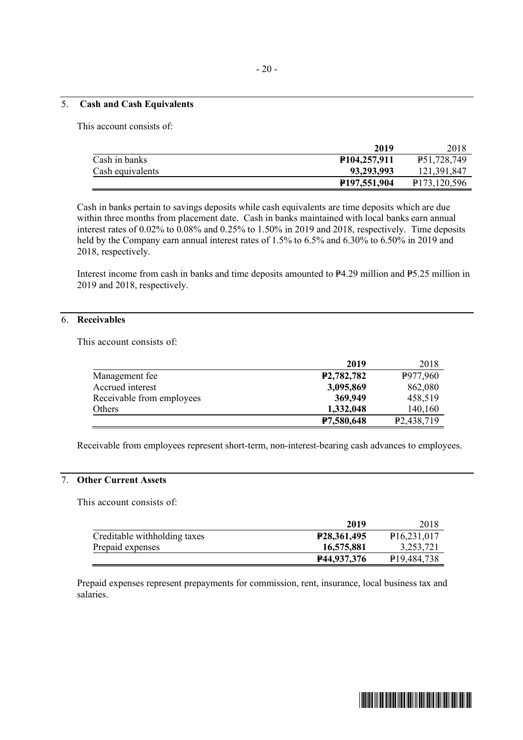## 5. **Cash and Cash Equivalents**

This account consists of:

|                  | 2019                        |                             |
|------------------|-----------------------------|-----------------------------|
| Cash in banks    | P <sub>104</sub> , 257, 911 | P51,728,749                 |
| Cash equivalents | 93,293,993                  | 121,391,847                 |
|                  | P <sub>197</sub> , 551, 904 | P <sub>173</sub> , 120, 596 |

Cash in banks pertain to savings deposits while cash equivalents are time deposits which are due within three months from placement date. Cash in banks maintained with local banks earn annual interest rates of 0.02% to 0.08% and 0.25% to 1.50% in 2019 and 2018, respectively. Time deposits held by the Company earn annual interest rates of 1.5% to 6.5% and 6.30% to 6.50% in 2019 and 2018, respectively.

Interest income from cash in banks and time deposits amounted to P4.29 million and P5.25 million in 2019 and 2018, respectively.

#### 6. **Receivables**

This account consists of:

|                           | 2019                      | 2018                    |
|---------------------------|---------------------------|-------------------------|
| Management fee            | P <sub>2</sub> , 782, 782 | P <sub>977,960</sub>    |
| Accrued interest          | 3,095,869                 | 862,080                 |
| Receivable from employees | 369,949                   | 458,519                 |
| Others                    | 1,332,048                 | 140,160                 |
|                           | P7,580,648                | P <sub>2</sub> ,438,719 |

Receivable from employees represent short-term, non-interest-bearing cash advances to employees.

# 7. **Other Current Assets**

This account consists of:

|                              | 2019                       | 2018                     |
|------------------------------|----------------------------|--------------------------|
| Creditable withholding taxes | P <sub>28</sub> , 361, 495 | P <sub>16</sub> ,231,017 |
| Prepaid expenses             | 16,575,881                 | 3,253,721                |
|                              | P44,937,376                | P <sub>19</sub> ,484,738 |

Prepaid expenses represent prepayments for commission, rent, insurance, local business tax and salaries.

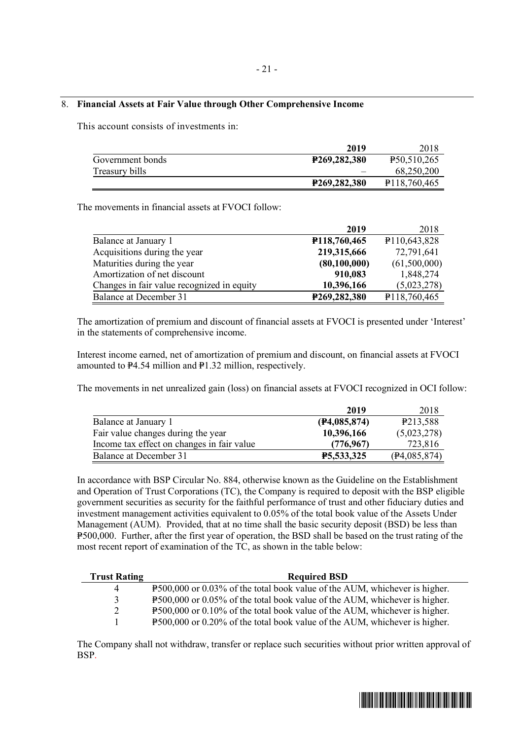# 8. **Financial Assets at Fair Value through Other Comprehensive Income**

This account consists of investments in:

|                  | 2019                        | 2018                        |
|------------------|-----------------------------|-----------------------------|
| Government bonds | P <sub>269</sub> , 282, 380 | P50,510,265                 |
| Treasury bills   |                             | 68,250,200                  |
|                  | P <sub>269</sub> , 282, 380 | P <sub>118</sub> , 760, 465 |

The movements in financial assets at FVOCI follow:

|                                            | 2019         | 2018         |
|--------------------------------------------|--------------|--------------|
| Balance at January 1                       | P118,760,465 | P110,643,828 |
| Acquisitions during the year               | 219,315,666  | 72,791,641   |
| Maturities during the year                 | (80,100,000) | (61,500,000) |
| Amortization of net discount               | 910,083      | 1,848,274    |
| Changes in fair value recognized in equity | 10,396,166   | (5,023,278)  |
| Balance at December 31                     | P269,282,380 | P118,760,465 |

The amortization of premium and discount of financial assets at FVOCI is presented under 'Interest' in the statements of comprehensive income.

Interest income earned, net of amortization of premium and discount, on financial assets at FVOCI amounted to  $P4.54$  million and  $P1.32$  million, respectively.

The movements in net unrealized gain (loss) on financial assets at FVOCI recognized in OCI follow:

|                                            | 2019         | 2018                 |
|--------------------------------------------|--------------|----------------------|
| Balance at January 1                       | (P4,085,874) | P <sub>213,588</sub> |
| Fair value changes during the year         | 10,396,166   | (5,023,278)          |
| Income tax effect on changes in fair value | (776, 967)   | 723,816              |
| Balance at December 31                     | P5,533,325   | (P4,085,874)         |

In accordance with BSP Circular No. 884, otherwise known as the Guideline on the Establishment and Operation of Trust Corporations (TC), the Company is required to deposit with the BSP eligible government securities as security for the faithful performance of trust and other fiduciary duties and investment management activities equivalent to 0.05% of the total book value of the Assets Under Management (AUM). Provided, that at no time shall the basic security deposit (BSD) be less than P500,000. Further, after the first year of operation, the BSD shall be based on the trust rating of the most recent report of examination of the TC, as shown in the table below:

| <b>Trust Rating</b> | <b>Required BSD</b>                                                        |
|---------------------|----------------------------------------------------------------------------|
| 4                   | P500,000 or 0.03% of the total book value of the AUM, whichever is higher. |
| 3                   | P500,000 or 0.05% of the total book value of the AUM, whichever is higher. |
| 2                   | P500,000 or 0.10% of the total book value of the AUM, whichever is higher. |
|                     | P500,000 or 0.20% of the total book value of the AUM, whichever is higher. |

The Company shall not withdraw, transfer or replace such securities without prior written approval of BSP.

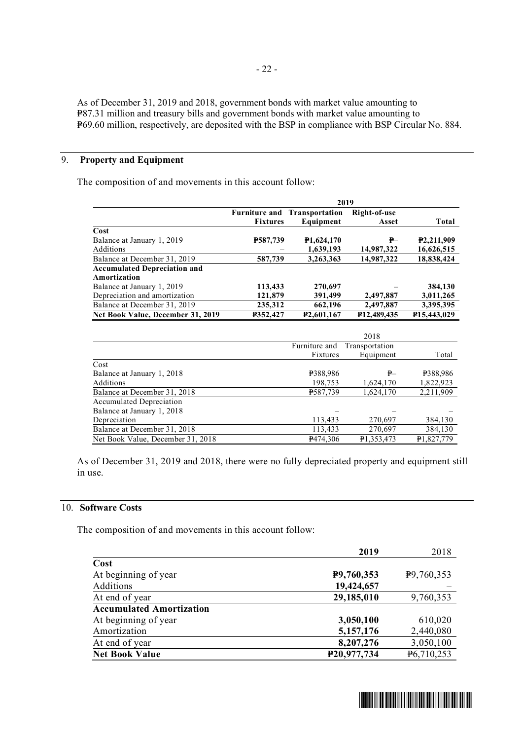As of December 31, 2019 and 2018, government bonds with market value amounting to P87.31 million and treasury bills and government bonds with market value amounting to P69.60 million, respectively, are deposited with the BSP in compliance with BSP Circular No. 884.

# 9. **Property and Equipment**

The composition of and movements in this account follow:

|                                     | 2019            |                                     |                          |                         |
|-------------------------------------|-----------------|-------------------------------------|--------------------------|-------------------------|
|                                     |                 | <b>Furniture and Transportation</b> | Right-of-use             |                         |
|                                     | <b>Fixtures</b> | Equipment                           | Asset                    | Total                   |
| Cost                                |                 |                                     |                          |                         |
| Balance at January 1, 2019          | P587,739        | P <sub>1</sub> ,624,170             | ₽                        | P <sub>2</sub> ,211,909 |
| Additions                           |                 | 1,639,193                           | 14,987,322               | 16,626,515              |
| Balance at December 31, 2019        | 587,739         | 3,263,363                           | 14,987,322               | 18,838,424              |
| <b>Accumulated Depreciation and</b> |                 |                                     |                          |                         |
| Amortization                        |                 |                                     |                          |                         |
| Balance at January 1, 2019          | 113,433         | 270,697                             |                          | 384,130                 |
| Depreciation and amortization       | 121,879         | 391,499                             | 2,497,887                | 3,011,265               |
| Balance at December 31, 2019        | 235,312         | 662,196                             | 2,497,887                | 3,395,395               |
| Net Book Value, December 31, 2019   | P352,427        | P <sub>2</sub> ,601,167             | P <sub>12</sub> ,489,435 | P15,443,029             |

|                                   | 2018     |                              |                         |
|-----------------------------------|----------|------------------------------|-------------------------|
|                                   |          | Furniture and Transportation |                         |
|                                   | Fixtures | Equipment                    | Total                   |
| Cost                              |          |                              |                         |
| Balance at January 1, 2018        | P388,986 | P                            | P388,986                |
| Additions                         | 198,753  | 1,624,170                    | 1,822,923               |
| Balance at December 31, 2018      | P587,739 | 1,624,170                    | 2,211,909               |
| Accumulated Depreciation          |          |                              |                         |
| Balance at January 1, 2018        |          |                              |                         |
| Depreciation                      | 113,433  | 270,697                      | 384,130                 |
| Balance at December 31, 2018      | 113,433  | 270,697                      | 384,130                 |
| Net Book Value, December 31, 2018 | P474.306 | P1,353,473                   | P <sub>1</sub> ,827,779 |

As of December 31, 2019 and 2018, there were no fully depreciated property and equipment still in use.

# 10. **Software Costs**

The composition of and movements in this account follow:

|                                 | 2019        | 2018       |
|---------------------------------|-------------|------------|
| Cost                            |             |            |
| At beginning of year            | P9,760,353  | P9,760,353 |
| Additions                       | 19,424,657  |            |
| At end of year                  | 29,185,010  | 9,760,353  |
| <b>Accumulated Amortization</b> |             |            |
| At beginning of year            | 3,050,100   | 610,020    |
| Amortization                    | 5,157,176   | 2,440,080  |
| At end of year                  | 8,207,276   | 3,050,100  |
| <b>Net Book Value</b>           | P20,977,734 | P6,710,253 |

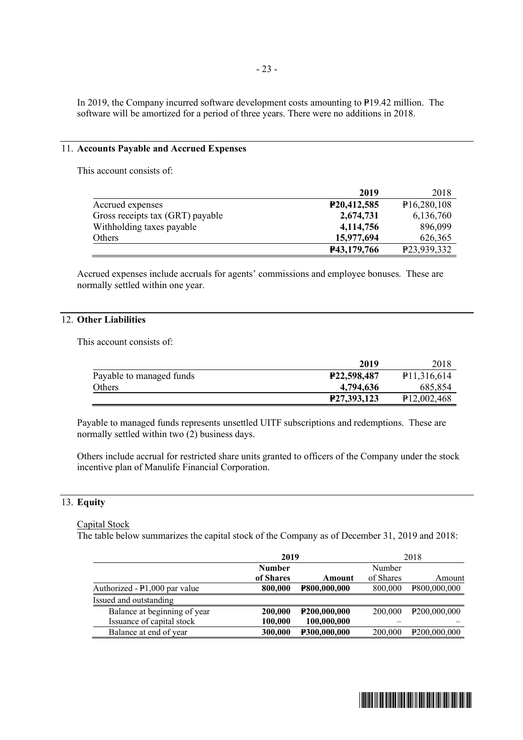- 23 -

In 2019, the Company incurred software development costs amounting to  $\frac{1}{2}$  million. The software will be amortized for a period of three years. There were no additions in 2018.

## 11. **Accounts Payable and Accrued Expenses**

This account consists of:

|                                  | 2019                     | 2018        |
|----------------------------------|--------------------------|-------------|
| Accrued expenses                 | P <sub>20</sub> ,412,585 | P16,280,108 |
| Gross receipts tax (GRT) payable | 2,674,731                | 6,136,760   |
| Withholding taxes payable        | 4,114,756                | 896,099     |
| Others                           | 15,977,694               | 626,365     |
|                                  | P43,179,766              | P23,939,332 |

Accrued expenses include accruals for agents' commissions and employee bonuses. These are normally settled within one year.

# 12. **Other Liabilities**

This account consists of:

|                          | 2019        | 2018        |
|--------------------------|-------------|-------------|
| Payable to managed funds | P22,598,487 | P11,316,614 |
| Others                   | 4,794,636   | 685,854     |
|                          | P27,393,123 | P12,002,468 |

Payable to managed funds represents unsettled UITF subscriptions and redemptions. These are normally settled within two (2) business days.

Others include accrual for restricted share units granted to officers of the Company under the stock incentive plan of Manulife Financial Corporation.

## 13. **Equity**

#### Capital Stock

The table below summarizes the capital stock of the Company as of December 31, 2019 and 2018:

|                               | 2019          |                           | 2018      |                           |
|-------------------------------|---------------|---------------------------|-----------|---------------------------|
|                               | <b>Number</b> |                           | Number    |                           |
|                               | of Shares     | Amount                    | of Shares | Amount                    |
| Authorized - P1,000 par value | 800,000       | P800,000,000              | 800,000   | P800,000,000              |
| Issued and outstanding        |               |                           |           |                           |
| Balance at beginning of year  | 200,000       | P <sub>200</sub> ,000,000 | 200,000   | P <sub>200</sub> ,000,000 |
| Issuance of capital stock     | 100,000       | 100,000,000               |           |                           |
| Balance at end of year        | 300,000       | P300,000,000              | 200,000   | P <sub>200</sub> ,000,000 |

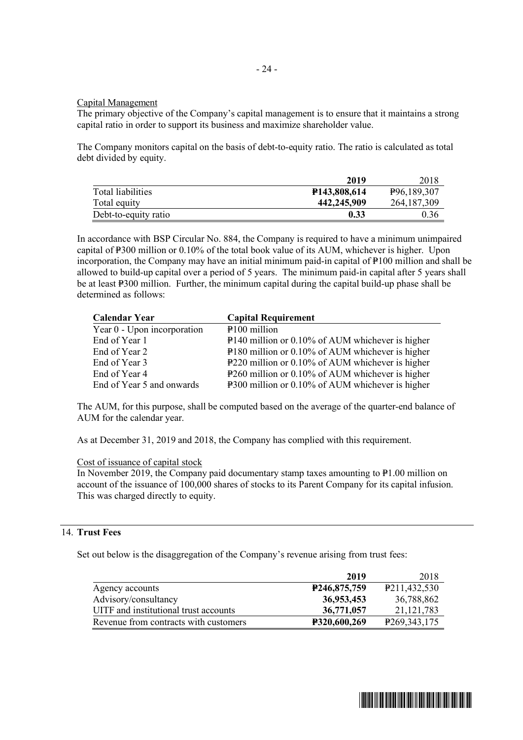#### Capital Management

The primary objective of the Company's capital management is to ensure that it maintains a strong capital ratio in order to support its business and maximize shareholder value.

The Company monitors capital on the basis of debt-to-equity ratio. The ratio is calculated as total debt divided by equity.

|                      | 2019                      | 2018                     |
|----------------------|---------------------------|--------------------------|
| Total liabilities    | P <sub>143</sub> ,808,614 | P <sub>96</sub> ,189,307 |
| Total equity         | 442,245,909               | 264, 187, 309            |
| Debt-to-equity ratio | 0.33                      | 0.36                     |

In accordance with BSP Circular No. 884, the Company is required to have a minimum unimpaired capital of  $P_{300}$  million or 0.10% of the total book value of its AUM, whichever is higher. Upon incorporation, the Company may have an initial minimum paid-in capital of  $\text{P}100$  million and shall be allowed to build-up capital over a period of 5 years. The minimum paid-in capital after 5 years shall be at least P300 million. Further, the minimum capital during the capital build-up phase shall be determined as follows:

| <b>Calendar Year</b>        | <b>Capital Requirement</b>                       |
|-----------------------------|--------------------------------------------------|
| Year 0 - Upon incorporation | P <sub>100</sub> million                         |
| End of Year 1               | P140 million or 0.10% of AUM whichever is higher |
| End of Year 2               | P180 million or 0.10% of AUM whichever is higher |
| End of Year 3               | P220 million or 0.10% of AUM whichever is higher |
| End of Year 4               | P260 million or 0.10% of AUM whichever is higher |
| End of Year 5 and onwards   | P300 million or 0.10% of AUM whichever is higher |

The AUM, for this purpose, shall be computed based on the average of the quarter-end balance of AUM for the calendar year.

As at December 31, 2019 and 2018, the Company has complied with this requirement.

#### Cost of issuance of capital stock

In November 2019, the Company paid documentary stamp taxes amounting to  $P1.00$  million on account of the issuance of 100,000 shares of stocks to its Parent Company for its capital infusion. This was charged directly to equity.

# 14. **Trust Fees**

Set out below is the disaggregation of the Company's revenue arising from trust fees:

|                                       | 2019                        | 2018                        |
|---------------------------------------|-----------------------------|-----------------------------|
| Agency accounts                       | P <sub>246</sub> , 875, 759 | P211,432,530                |
| Advisory/consultancy                  | 36,953,453                  | 36,788,862                  |
| UITF and institutional trust accounts | 36,771,057                  | 21, 121, 783                |
| Revenue from contracts with customers | <b>P320,600,269</b>         | P <sub>269</sub> , 343, 175 |

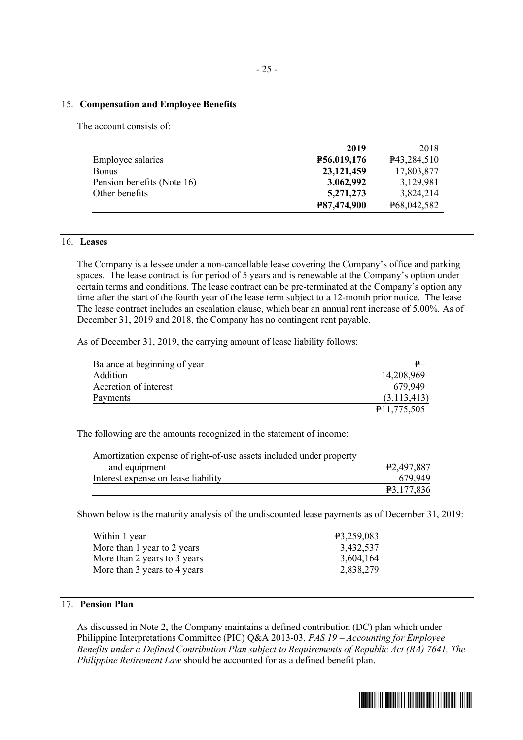## 15. **Compensation and Employee Benefits**

The account consists of:

|                            | 2019               | 2018        |
|----------------------------|--------------------|-------------|
| Employee salaries          | <b>P56,019,176</b> | P43,284,510 |
| <b>Bonus</b>               | 23, 121, 459       | 17,803,877  |
| Pension benefits (Note 16) | 3,062,992          | 3,129,981   |
| Other benefits             | 5,271,273          | 3,824,214   |
|                            | <b>P87,474,900</b> | P68,042,582 |

# 16. **Leases**

The Company is a lessee under a non-cancellable lease covering the Company's office and parking spaces. The lease contract is for period of 5 years and is renewable at the Company's option under certain terms and conditions. The lease contract can be pre-terminated at the Company's option any time after the start of the fourth year of the lease term subject to a 12-month prior notice. The lease The lease contract includes an escalation clause, which bear an annual rent increase of 5.00%. As of December 31, 2019 and 2018, the Company has no contingent rent payable.

As of December 31, 2019, the carrying amount of lease liability follows:

| Balance at beginning of year | $\mathbf{P}^-$ |
|------------------------------|----------------|
| Addition                     | 14,208,969     |
| Accretion of interest        | 679.949        |
| Payments                     | (3,113,413)    |
|                              | P11,775,505    |

The following are the amounts recognized in the statement of income:

| Amortization expense of right-of-use assets included under property |                         |
|---------------------------------------------------------------------|-------------------------|
| and equipment                                                       | P <sub>2</sub> ,497,887 |
| Interest expense on lease liability                                 | 679.949                 |
|                                                                     | P3,177,836              |

Shown below is the maturity analysis of the undiscounted lease payments as of December 31, 2019:

| Within 1 year                | P3,259,083 |
|------------------------------|------------|
| More than 1 year to 2 years  | 3,432,537  |
| More than 2 years to 3 years | 3,604,164  |
| More than 3 years to 4 years | 2,838,279  |

# 17. **Pension Plan**

As discussed in Note 2, the Company maintains a defined contribution (DC) plan which under Philippine Interpretations Committee (PIC) Q&A 2013-03, *PAS 19 – Accounting for Employee Benefits under a Defined Contribution Plan subject to Requirements of Republic Act (RA) 7641, The Philippine Retirement Law* should be accounted for as a defined benefit plan.

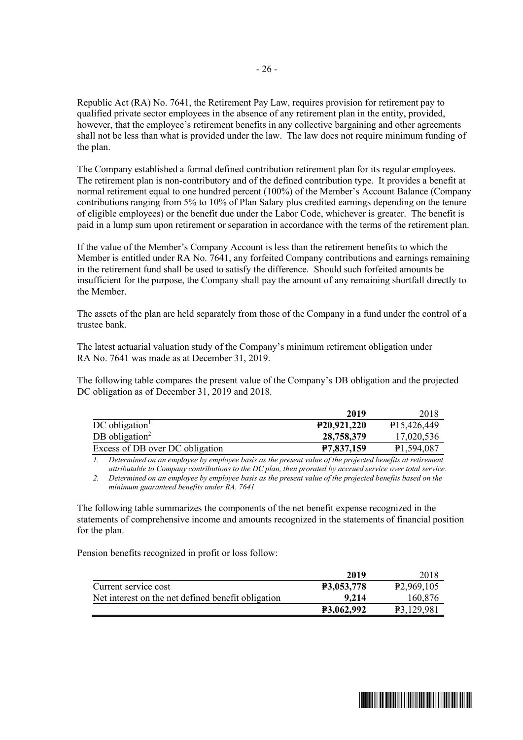Republic Act (RA) No. 7641, the Retirement Pay Law, requires provision for retirement pay to qualified private sector employees in the absence of any retirement plan in the entity, provided, however, that the employee's retirement benefits in any collective bargaining and other agreements shall not be less than what is provided under the law. The law does not require minimum funding of the plan.

The Company established a formal defined contribution retirement plan for its regular employees. The retirement plan is non-contributory and of the defined contribution type. It provides a benefit at normal retirement equal to one hundred percent (100%) of the Member's Account Balance (Company contributions ranging from 5% to 10% of Plan Salary plus credited earnings depending on the tenure of eligible employees) or the benefit due under the Labor Code, whichever is greater. The benefit is paid in a lump sum upon retirement or separation in accordance with the terms of the retirement plan.

If the value of the Member's Company Account is less than the retirement benefits to which the Member is entitled under RA No. 7641, any forfeited Company contributions and earnings remaining in the retirement fund shall be used to satisfy the difference. Should such forfeited amounts be insufficient for the purpose, the Company shall pay the amount of any remaining shortfall directly to the Member.

The assets of the plan are held separately from those of the Company in a fund under the control of a trustee bank.

The latest actuarial valuation study of the Company's minimum retirement obligation under RA No. 7641 was made as at December 31, 2019.

The following table compares the present value of the Company's DB obligation and the projected DC obligation as of December 31, 2019 and 2018.

|                                 | 2019                     | 2018                     |
|---------------------------------|--------------------------|--------------------------|
| $DC$ obligation <sup>1</sup>    | P <sub>20</sub> ,921,220 | P <sub>15</sub> ,426,449 |
| DB obligation <sup>2</sup>      | 28,758,379               | 17,020,536               |
| Excess of DB over DC obligation | P7,837,159               | P <sub>1</sub> ,594,087  |

*1. Determined on an employee by employee basis as the present value of the projected benefits at retirement attributable to Company contributions to the DC plan, then prorated by accrued service over total service. 2. Determined on an employee by employee basis as the present value of the projected benefits based on the*

*minimum guaranteed benefits under RA. 7641*

The following table summarizes the components of the net benefit expense recognized in the statements of comprehensive income and amounts recognized in the statements of financial position for the plan.

Pension benefits recognized in profit or loss follow:

|                                                    | 2019              | 2018       |
|----------------------------------------------------|-------------------|------------|
| Current service cost                               | <b>P3,053,778</b> | P2,969,105 |
| Net interest on the net defined benefit obligation | 9.214             | 160,876    |
|                                                    | <b>P3,062,992</b> | P3,129,981 |

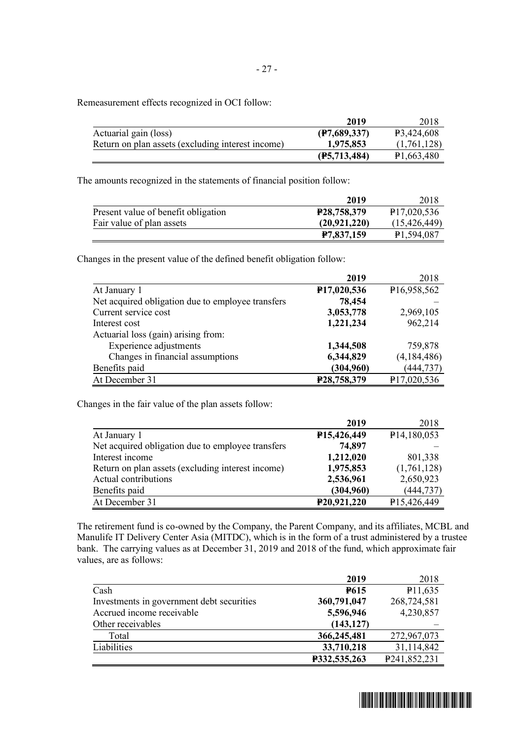Remeasurement effects recognized in OCI follow:

|                                                   | 2019           | 2018                    |
|---------------------------------------------------|----------------|-------------------------|
| Actuarial gain (loss)                             | (F7,689,337)   | P <sub>3</sub> ,424,608 |
| Return on plan assets (excluding interest income) | 1,975,853      | (1,761,128)             |
|                                                   | (F5, 713, 484) | P <sub>1</sub> ,663,480 |

The amounts recognized in the statements of financial position follow:

|                                     | 2019                       | 2018                     |
|-------------------------------------|----------------------------|--------------------------|
| Present value of benefit obligation | P <sub>28</sub> , 758, 379 | P <sub>17</sub> ,020,536 |
| Fair value of plan assets           | (20, 921, 220)             | (15, 426, 449)           |
|                                     | P7,837,159                 | P1,594,087               |

Changes in the present value of the defined benefit obligation follow:

|                                                   | 2019                     | 2018                     |
|---------------------------------------------------|--------------------------|--------------------------|
| At January 1                                      | P <sub>17</sub> ,020,536 | P <sub>16</sub> ,958,562 |
| Net acquired obligation due to employee transfers | 78,454                   |                          |
| Current service cost                              | 3,053,778                | 2,969,105                |
| Interest cost                                     | 1,221,234                | 962,214                  |
| Actuarial loss (gain) arising from:               |                          |                          |
| Experience adjustments                            | 1,344,508                | 759,878                  |
| Changes in financial assumptions                  | 6,344,829                | (4,184,486)              |
| Benefits paid                                     | (304,960)                | (444, 737)               |
| At December 31                                    | P28,758,379              | P <sub>17</sub> ,020,536 |

Changes in the fair value of the plan assets follow:

|                                                   | 2019        | 2018                     |
|---------------------------------------------------|-------------|--------------------------|
| At January 1                                      | P15,426,449 | P <sub>14</sub> ,180,053 |
| Net acquired obligation due to employee transfers | 74,897      |                          |
| Interest income                                   | 1,212,020   | 801,338                  |
| Return on plan assets (excluding interest income) | 1,975,853   | (1,761,128)              |
| Actual contributions                              | 2,536,961   | 2,650,923                |
| Benefits paid                                     | (304,960)   | (444, 737)               |
| At December 31                                    | P20,921,220 | P15,426,449              |

The retirement fund is co-owned by the Company, the Parent Company, and its affiliates, MCBL and Manulife IT Delivery Center Asia (MITDC), which is in the form of a trust administered by a trustee bank. The carrying values as at December 31, 2019 and 2018 of the fund, which approximate fair values, are as follows:

|                                           | 2019         | 2018                 |
|-------------------------------------------|--------------|----------------------|
| Cash                                      | <b>P615</b>  | P <sub>11</sub> ,635 |
| Investments in government debt securities | 360,791,047  | 268,724,581          |
| Accrued income receivable                 | 5,596,946    | 4,230,857            |
| Other receivables                         | (143, 127)   |                      |
| Total                                     | 366,245,481  | 272,967,073          |
| Liabilities                               | 33,710,218   | 31,114,842           |
|                                           | P332,535,263 | P241,852,231         |

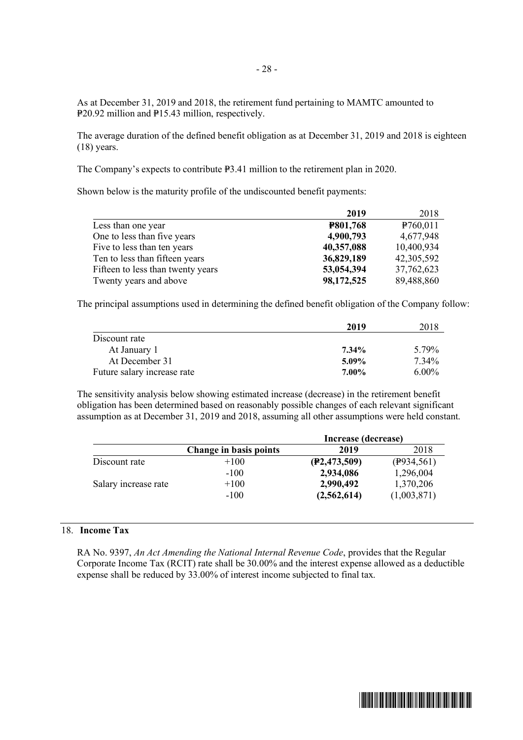As at December 31, 2019 and 2018, the retirement fund pertaining to MAMTC amounted to  $P20.92$  million and  $P15.43$  million, respectively.

The average duration of the defined benefit obligation as at December 31, 2019 and 2018 is eighteen (18) years.

The Company's expects to contribute P3.41 million to the retirement plan in 2020.

Shown below is the maturity profile of the undiscounted benefit payments:

|                                   | 2019            | 2018       |
|-----------------------------------|-----------------|------------|
| Less than one year                | <b>P801,768</b> | P760,011   |
| One to less than five years       | 4,900,793       | 4,677,948  |
| Five to less than ten years       | 40,357,088      | 10,400,934 |
| Ten to less than fifteen years    | 36,829,189      | 42,305,592 |
| Fifteen to less than twenty years | 53,054,394      | 37,762,623 |
| Twenty years and above            | 98,172,525      | 89,488,860 |

The principal assumptions used in determining the defined benefit obligation of the Company follow:

|                             | 2019  | 2018     |
|-----------------------------|-------|----------|
| Discount rate               |       |          |
| At January 1                | 7.34% | 5.79%    |
| At December 31              | 5.09% | 7.34%    |
| Future salary increase rate | 7.00% | $6.00\%$ |

The sensitivity analysis below showing estimated increase (decrease) in the retirement benefit obligation has been determined based on reasonably possible changes of each relevant significant assumption as at December 31, 2019 and 2018, assuming all other assumptions were held constant.

|                      |                        | Increase (decrease) |                     |
|----------------------|------------------------|---------------------|---------------------|
|                      | Change in basis points | 2019                | 2018                |
| Discount rate        | $+100$                 | (P2, 473, 509)      | $(\text{P}934,561)$ |
|                      | $-100$                 | 2,934,086           | 1,296,004           |
| Salary increase rate | $+100$                 | 2,990,492           | 1,370,206           |
|                      | $-100$                 | (2,562,614)         | (1,003,871)         |
|                      |                        |                     |                     |

# 18. **Income Tax**

RA No. 9397, *An Act Amending the National Internal Revenue Code*, provides that the Regular Corporate Income Tax (RCIT) rate shall be 30.00% and the interest expense allowed as a deductible expense shall be reduced by 33.00% of interest income subjected to final tax.

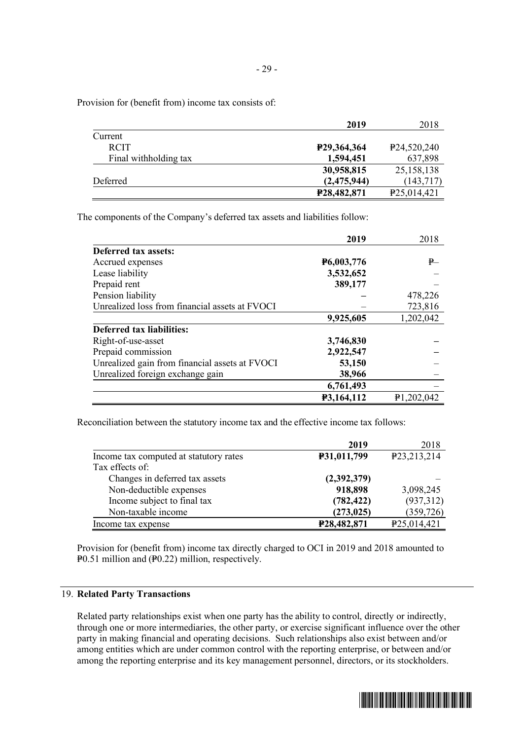Provision for (benefit from) income tax consists of:

|                       | 2019                       | 2018                       |
|-----------------------|----------------------------|----------------------------|
| Current               |                            |                            |
| <b>RCIT</b>           | P <sub>29</sub> , 364, 364 | P <sub>24</sub> , 520, 240 |
| Final withholding tax | 1,594,451                  | 637,898                    |
|                       | 30,958,815                 | 25,158,138                 |
| Deferred              | (2,475,944)                | (143, 717)                 |
|                       | P28,482,871                | P <sub>25</sub> ,014,421   |

The components of the Company's deferred tax assets and liabilities follow:

|                                                | 2019              | 2018       |
|------------------------------------------------|-------------------|------------|
| Deferred tax assets:                           |                   |            |
| Accrued expenses                               | <b>P6,003,776</b> | ₽—         |
| Lease liability                                | 3,532,652         |            |
| Prepaid rent                                   | 389,177           |            |
| Pension liability                              |                   | 478,226    |
| Unrealized loss from financial assets at FVOCI |                   | 723,816    |
|                                                | 9,925,605         | 1,202,042  |
| Deferred tax liabilities:                      |                   |            |
| Right-of-use-asset                             | 3,746,830         |            |
| Prepaid commission                             | 2,922,547         |            |
| Unrealized gain from financial assets at FVOCI | 53,150            |            |
| Unrealized foreign exchange gain               | 38,966            |            |
|                                                | 6,761,493         |            |
|                                                | P3,164,112        | P1,202,042 |

Reconciliation between the statutory income tax and the effective income tax follows:

|                                        | 2019        | 2018        |
|----------------------------------------|-------------|-------------|
| Income tax computed at statutory rates | P31,011,799 | P23,213,214 |
| Tax effects of:                        |             |             |
| Changes in deferred tax assets         | (2,392,379) |             |
| Non-deductible expenses                | 918,898     | 3,098,245   |
| Income subject to final tax            | (782, 422)  | (937,312)   |
| Non-taxable income                     | (273, 025)  | (359, 726)  |
| Income tax expense                     | P28,482,871 | P25,014,421 |

Provision for (benefit from) income tax directly charged to OCI in 2019 and 2018 amounted to  $P$ 0.51 million and ( $P$ 0.22) million, respectively.

# 19. **Related Party Transactions**

Related party relationships exist when one party has the ability to control, directly or indirectly, through one or more intermediaries, the other party, or exercise significant influence over the other party in making financial and operating decisions. Such relationships also exist between and/or among entities which are under common control with the reporting enterprise, or between and/or among the reporting enterprise and its key management personnel, directors, or its stockholders.

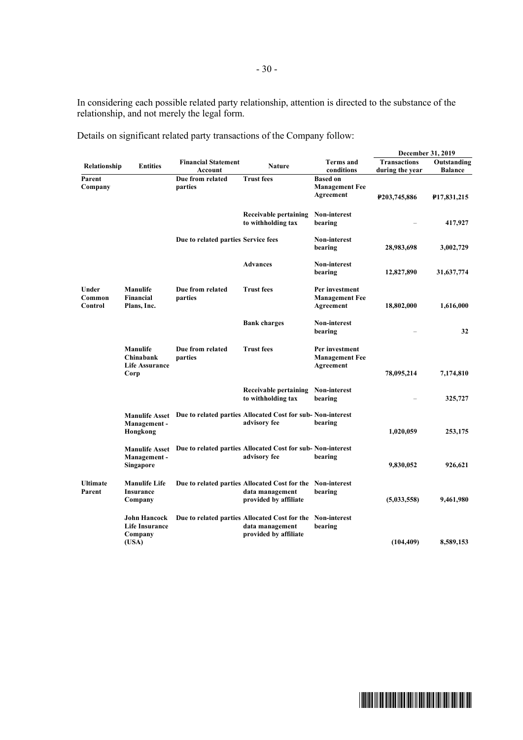In considering each possible related party relationship, attention is directed to the substance of the relationship, and not merely the legal form.

Details on significant related party transactions of the Company follow:

|                            |                                                         |                                       |                                                                                                        |                                                       | December 31, 2019                      |                               |
|----------------------------|---------------------------------------------------------|---------------------------------------|--------------------------------------------------------------------------------------------------------|-------------------------------------------------------|----------------------------------------|-------------------------------|
| Relationship               | <b>Entities</b>                                         | <b>Financial Statement</b><br>Account | <b>Nature</b>                                                                                          | <b>Terms</b> and<br>conditions                        | <b>Transactions</b><br>during the year | Outstanding<br><b>Balance</b> |
| Parent<br>Company          |                                                         | Due from related<br>parties           | <b>Trust fees</b>                                                                                      | <b>Based on</b><br><b>Management Fee</b><br>Agreement | P203,745,886                           | P <sub>17</sub> ,831,215      |
|                            |                                                         |                                       | <b>Receivable pertaining</b><br>to withholding tax                                                     | <b>Non-interest</b><br>bearing                        |                                        | 417,927                       |
|                            |                                                         | Due to related parties Service fees   |                                                                                                        | Non-interest<br>bearing                               | 28,983,698                             | 3,002,729                     |
|                            |                                                         |                                       | <b>Advances</b>                                                                                        | <b>Non-interest</b><br>bearing                        | 12,827,890                             | 31,637,774                    |
| Under<br>Common<br>Control | <b>Manulife</b><br><b>Financial</b><br>Plans, Inc.      | Due from related<br>parties           | <b>Trust fees</b>                                                                                      | Per investment<br><b>Management Fee</b><br>Agreement  | 18,802,000                             | 1,616,000                     |
|                            |                                                         |                                       | <b>Bank charges</b>                                                                                    | <b>Non-interest</b><br>bearing                        |                                        | 32                            |
|                            | Manulife<br>Chinabank<br><b>Life Assurance</b><br>Corp  | Due from related<br>parties           | <b>Trust fees</b>                                                                                      | Per investment<br><b>Management Fee</b><br>Agreement  | 78,095,214                             | 7,174,810                     |
|                            |                                                         |                                       | Receivable pertaining<br>to withholding tax                                                            | Non-interest<br>bearing                               |                                        | 325,727                       |
|                            | Management-<br>Hongkong                                 |                                       | Manulife Asset Due to related parties Allocated Cost for sub-Non-interest<br>advisory fee              | bearing                                               | 1,020,059                              | 253,175                       |
|                            | Management-<br>Singapore                                |                                       | Manulife Asset Due to related parties Allocated Cost for sub- Non-interest<br>advisory fee             | bearing                                               | 9,830,052                              | 926,621                       |
| <b>Ultimate</b><br>Parent  | <b>Manulife Life</b><br><b>Insurance</b><br>Company     |                                       | Due to related parties Allocated Cost for the Non-interest<br>data management<br>provided by affiliate | bearing                                               | (5,033,558)                            | 9,461,980                     |
|                            | <b>John Hancock</b><br><b>Life Insurance</b><br>Company |                                       | Due to related parties Allocated Cost for the Non-interest<br>data management<br>provided by affiliate | bearing                                               |                                        |                               |
|                            | (USA)                                                   |                                       |                                                                                                        |                                                       | (104, 409)                             | 8,589,153                     |

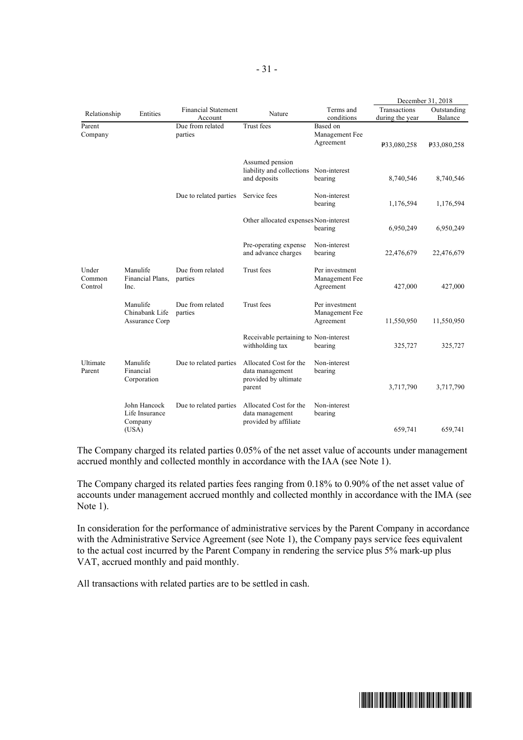|                            |                                              |                                       |                                                                             |                                               |                                 | December 31, 2018      |
|----------------------------|----------------------------------------------|---------------------------------------|-----------------------------------------------------------------------------|-----------------------------------------------|---------------------------------|------------------------|
| Relationship               | Entities                                     | <b>Financial Statement</b><br>Account | Nature                                                                      | Terms and<br>conditions                       | Transactions<br>during the year | Outstanding<br>Balance |
| Parent<br>Company          |                                              | Due from related<br>parties           | Trust fees                                                                  | Based on<br>Management Fee<br>Agreement       | P33,080,258                     | P33,080,258            |
|                            |                                              |                                       | Assumed pension<br>liability and collections Non-interest<br>and deposits   | bearing                                       | 8,740,546                       | 8,740,546              |
|                            |                                              | Due to related parties                | Service fees                                                                | Non-interest<br>bearing                       | 1,176,594                       | 1,176,594              |
|                            |                                              |                                       | Other allocated expenses Non-interest                                       | bearing                                       | 6,950,249                       | 6,950,249              |
|                            |                                              |                                       | Pre-operating expense<br>and advance charges                                | Non-interest<br>bearing                       | 22,476,679                      | 22,476,679             |
| Under<br>Common<br>Control | Manulife<br>Financial Plans,<br>Inc.         | Due from related<br>parties           | Trust fees                                                                  | Per investment<br>Management Fee<br>Agreement | 427,000                         | 427,000                |
|                            | Manulife<br>Chinabank Life<br>Assurance Corp | Due from related<br>parties           | Trust fees                                                                  | Per investment<br>Management Fee<br>Agreement | 11,550,950                      | 11,550,950             |
|                            |                                              |                                       | Receivable pertaining to Non-interest<br>withholding tax                    | bearing                                       | 325,727                         | 325,727                |
| Ultimate<br>Parent         | Manulife<br>Financial<br>Corporation         | Due to related parties                | Allocated Cost for the<br>data management<br>provided by ultimate<br>parent | Non-interest<br>bearing                       | 3,717,790                       | 3,717,790              |
|                            | John Hancock<br>Life Insurance<br>Company    | Due to related parties                | Allocated Cost for the<br>data management<br>provided by affiliate          | Non-interest<br>bearing                       |                                 |                        |
|                            | (USA)                                        |                                       |                                                                             |                                               | 659,741                         | 659,741                |

The Company charged its related parties 0.05% of the net asset value of accounts under management accrued monthly and collected monthly in accordance with the IAA (see Note 1).

The Company charged its related parties fees ranging from 0.18% to 0.90% of the net asset value of accounts under management accrued monthly and collected monthly in accordance with the IMA (see Note 1).

In consideration for the performance of administrative services by the Parent Company in accordance with the Administrative Service Agreement (see Note 1), the Company pays service fees equivalent to the actual cost incurred by the Parent Company in rendering the service plus 5% mark-up plus VAT, accrued monthly and paid monthly.

All transactions with related parties are to be settled in cash.

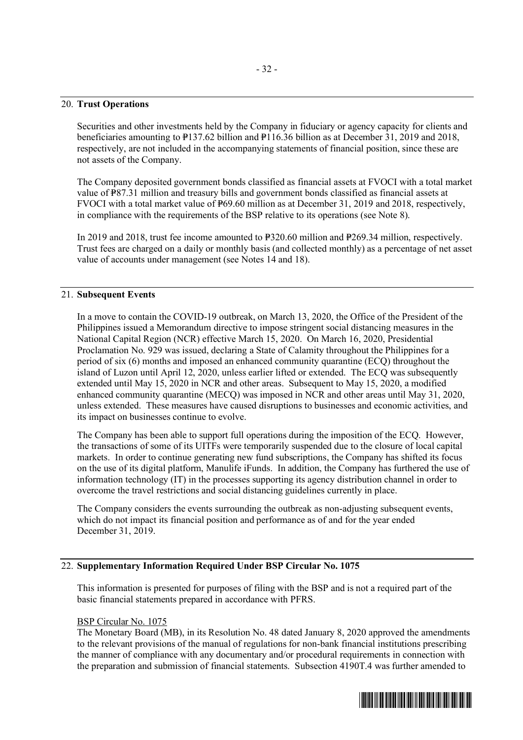## 20. **Trust Operations**

Securities and other investments held by the Company in fiduciary or agency capacity for clients and beneficiaries amounting to  $P137.62$  billion and  $P116.36$  billion as at December 31, 2019 and 2018, respectively, are not included in the accompanying statements of financial position, since these are not assets of the Company.

The Company deposited government bonds classified as financial assets at FVOCI with a total market value of P87.31 million and treasury bills and government bonds classified as financial assets at FVOCI with a total market value of  $F69.60$  million as at December 31, 2019 and 2018, respectively, in compliance with the requirements of the BSP relative to its operations (see Note 8).

In 2019 and 2018, trust fee income amounted to  $P320.60$  million and  $P269.34$  million, respectively. Trust fees are charged on a daily or monthly basis (and collected monthly) as a percentage of net asset value of accounts under management (see Notes 14 and 18).

### 21. **Subsequent Events**

In a move to contain the COVID-19 outbreak, on March 13, 2020, the Office of the President of the Philippines issued a Memorandum directive to impose stringent social distancing measures in the National Capital Region (NCR) effective March 15, 2020. On March 16, 2020, Presidential Proclamation No. 929 was issued, declaring a State of Calamity throughout the Philippines for a period of six (6) months and imposed an enhanced community quarantine (ECQ) throughout the island of Luzon until April 12, 2020, unless earlier lifted or extended. The ECQ was subsequently extended until May 15, 2020 in NCR and other areas. Subsequent to May 15, 2020, a modified enhanced community quarantine (MECQ) was imposed in NCR and other areas until May 31, 2020, unless extended. These measures have caused disruptions to businesses and economic activities, and its impact on businesses continue to evolve.

The Company has been able to support full operations during the imposition of the ECQ. However, the transactions of some of its UITFs were temporarily suspended due to the closure of local capital markets. In order to continue generating new fund subscriptions, the Company has shifted its focus on the use of its digital platform, Manulife iFunds. In addition, the Company has furthered the use of information technology (IT) in the processes supporting its agency distribution channel in order to overcome the travel restrictions and social distancing guidelines currently in place.

The Company considers the events surrounding the outbreak as non-adjusting subsequent events, which do not impact its financial position and performance as of and for the year ended December 31, 2019.

# 22. **Supplementary Information Required Under BSP Circular No. 1075**

This information is presented for purposes of filing with the BSP and is not a required part of the basic financial statements prepared in accordance with PFRS.

#### BSP Circular No. 1075

The Monetary Board (MB), in its Resolution No. 48 dated January 8, 2020 approved the amendments to the relevant provisions of the manual of regulations for non-bank financial institutions prescribing the manner of compliance with any documentary and/or procedural requirements in connection with the preparation and submission of financial statements. Subsection 4190T.4 was further amended to

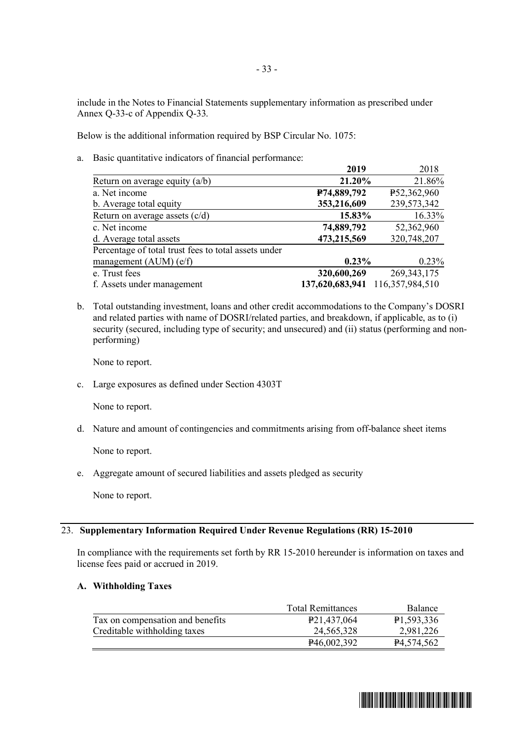include in the Notes to Financial Statements supplementary information as prescribed under Annex Q-33-c of Appendix Q-33.

Below is the additional information required by BSP Circular No. 1075:

a. Basic quantitative indicators of financial performance:

|                                                      | 2019            | 2018            |
|------------------------------------------------------|-----------------|-----------------|
| Return on average equity $(a/b)$                     | 21.20%          | 21.86%          |
| a. Net income                                        | P74,889,792     | P52,362,960     |
| b. Average total equity                              | 353,216,609     | 239,573,342     |
| Return on average assets (c/d)                       | 15.83%          | 16.33%          |
| c. Net income                                        | 74,889,792      | 52,362,960      |
| d. Average total assets                              | 473,215,569     | 320,748,207     |
| Percentage of total trust fees to total assets under |                 |                 |
| management $(AUM)$ (e/f)                             | 0.23%           | 0.23%           |
| e. Trust fees                                        | 320,600,269     | 269, 343, 175   |
| f. Assets under management                           | 137,620,683,941 | 116,357,984,510 |

b. Total outstanding investment, loans and other credit accommodations to the Company's DOSRI and related parties with name of DOSRI/related parties, and breakdown, if applicable, as to (i) security (secured, including type of security; and unsecured) and (ii) status (performing and nonperforming)

None to report.

c. Large exposures as defined under Section 4303T

None to report.

d. Nature and amount of contingencies and commitments arising from off-balance sheet items

None to report.

e. Aggregate amount of secured liabilities and assets pledged as security

None to report.

#### 23. **Supplementary Information Required Under Revenue Regulations (RR) 15-2010**

In compliance with the requirements set forth by RR 15-2010 hereunder is information on taxes and license fees paid or accrued in 2019.

# **A. Withholding Taxes**

|                                  | <b>Total Remittances</b> | <b>Balance</b>          |
|----------------------------------|--------------------------|-------------------------|
| Tax on compensation and benefits | P <sub>21</sub> ,437,064 | P <sub>1</sub> ,593,336 |
| Creditable withholding taxes     | 24,565,328               | 2,981,226               |
|                                  | P46,002,392              | P <sub>4</sub> ,574,562 |